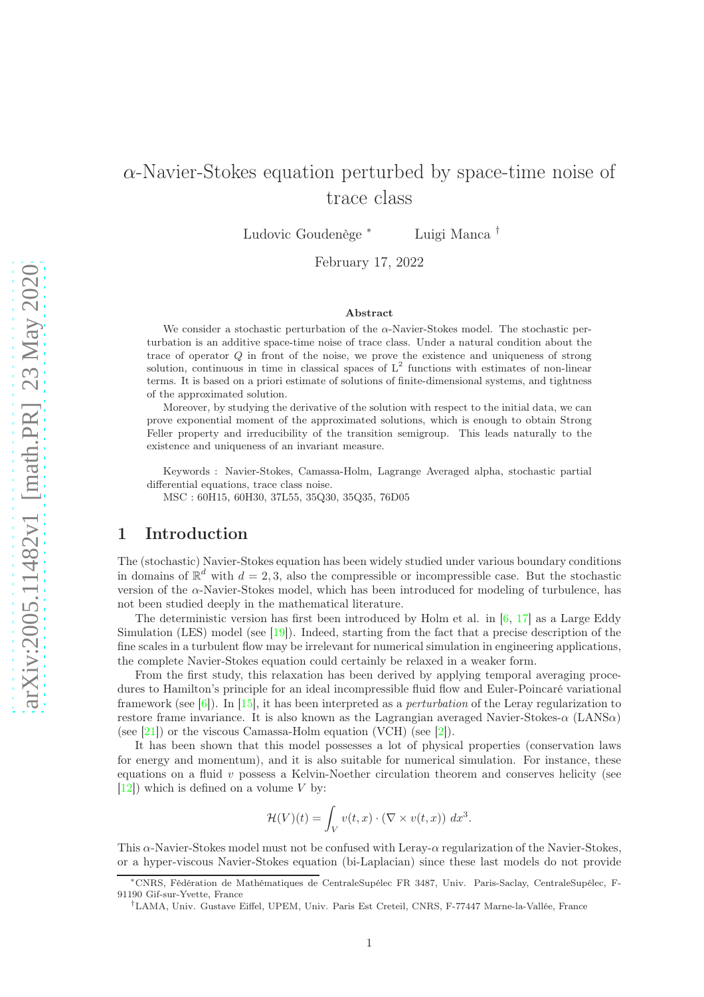# $\alpha$ -Navier-Stokes equation perturbed by space-time noise of trace class

Ludovic Goudenège <sup>∗</sup> Luigi Manca †

February 17, 2022

#### Abstract

We consider a stochastic perturbation of the  $\alpha$ -Navier-Stokes model. The stochastic perturbation is an additive space-time noise of trace class. Under a natural condition about the trace of operator  $Q$  in front of the noise, we prove the existence and uniqueness of strong solution, continuous in time in classical spaces of  $L^2$  functions with estimates of non-linear terms. It is based on a priori estimate of solutions of finite-dimensional systems, and tightness of the approximated solution.

Moreover, by studying the derivative of the solution with respect to the initial data, we can prove exponential moment of the approximated solutions, which is enough to obtain Strong Feller property and irreducibility of the transition semigroup. This leads naturally to the existence and uniqueness of an invariant measure.

Keywords : Navier-Stokes, Camassa-Holm, Lagrange Averaged alpha, stochastic partial differential equations, trace class noise.

MSC : 60H15, 60H30, 37L55, 35Q30, 35Q35, 76D05

## 1 Introduction

The (stochastic) Navier-Stokes equation has been widely studied under various boundary conditions in domains of  $\mathbb{R}^d$  with  $d = 2, 3$ , also the compressible or incompressible case. But the stochastic version of the  $\alpha$ -Navier-Stokes model, which has been introduced for modeling of turbulence, has not been studied deeply in the mathematical literature.

The deterministic version has first been introduced by Holm et al. in  $[6, 17]$  $[6, 17]$  as a Large Eddy Simulation (LES) model (see [\[19\]](#page-22-1)). Indeed, starting from the fact that a precise description of the fine scales in a turbulent flow may be irrelevant for numerical simulation in engineering applications, the complete Navier-Stokes equation could certainly be relaxed in a weaker form.

From the first study, this relaxation has been derived by applying temporal averaging procedures to Hamilton's principle for an ideal incompressible fluid flow and Euler-Poincaré variational framework (see [\[6\]](#page-21-0)). In [\[15\]](#page-22-2), it has been interpreted as a *perturbation* of the Leray regularization to restore frame invariance. It is also known as the Lagrangian averaged Navier-Stokes- $\alpha$  (LANS $\alpha$ ) (see [\[21\]](#page-22-3)) or the viscous Camassa-Holm equation (VCH) (see [\[2\]](#page-21-1)).

It has been shown that this model possesses a lot of physical properties (conservation laws for energy and momentum), and it is also suitable for numerical simulation. For instance, these equations on a fluid v possess a Kelvin-Noether circulation theorem and conserves helicity (see  $[12]$ ) which is defined on a volume V by:

$$
\mathcal{H}(V)(t) = \int_V v(t,x) \cdot (\nabla \times v(t,x)) dx^3.
$$

This α-Navier-Stokes model must not be confused with Leray-α regularization of the Navier-Stokes, or a hyper-viscous Navier-Stokes equation (bi-Laplacian) since these last models do not provide

<sup>∗</sup>CNRS, Fédération de Mathématiques de CentraleSupélec FR 3487, Univ. Paris-Saclay, CentraleSupélec, F-91190 Gif-sur-Yvette, France

<sup>†</sup>LAMA, Univ. Gustave Eiffel, UPEM, Univ. Paris Est Creteil, CNRS, F-77447 Marne-la-Vallée, France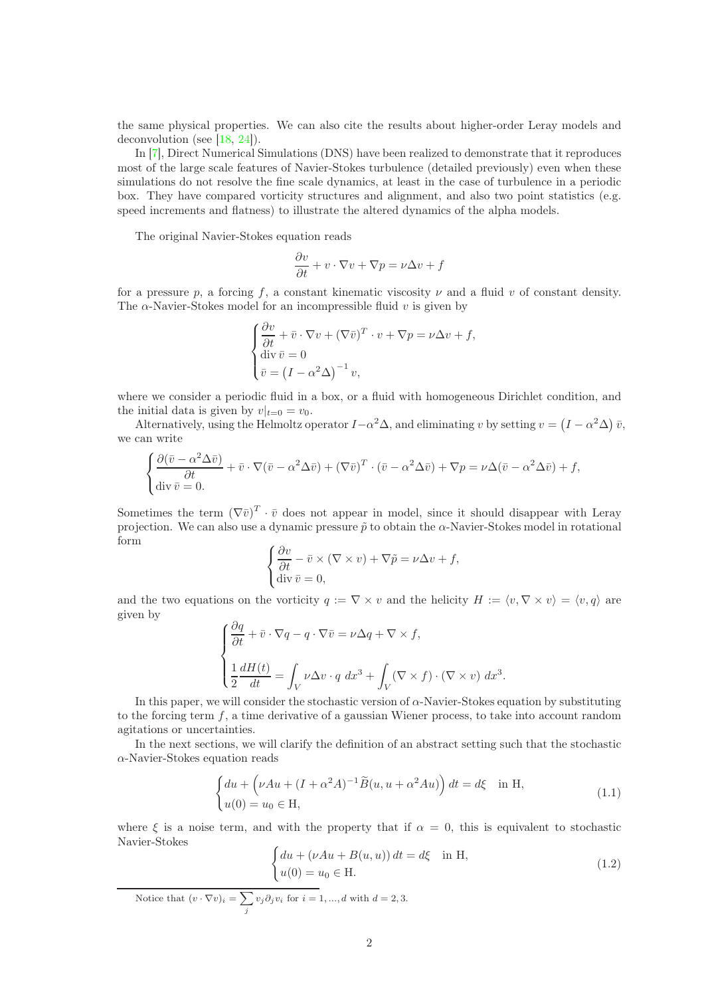the same physical properties. We can also cite the results about higher-order Leray models and deconvolution (see [\[18,](#page-22-5) [24\]](#page-22-6)).

In [\[7\]](#page-22-7), Direct Numerical Simulations (DNS) have been realized to demonstrate that it reproduces most of the large scale features of Navier-Stokes turbulence (detailed previously) even when these simulations do not resolve the fine scale dynamics, at least in the case of turbulence in a periodic box. They have compared vorticity structures and alignment, and also two point statistics (e.g. speed increments and flatness) to illustrate the altered dynamics of the alpha models.

The original Navier-Stokes equation read[s](#page-1-0)

$$
\frac{\partial v}{\partial t} + v \cdot \nabla v + \nabla p = \nu \Delta v + f
$$

for a pressure p, a forcing f, a constant kinematic viscosity  $\nu$  and a fluid v of constant density. The  $\alpha$ -Navier-Stokes model for an incompressible fluid v is given by

$$
\begin{cases}\n\frac{\partial v}{\partial t} + \bar{v} \cdot \nabla v + (\nabla \bar{v})^T \cdot v + \nabla p = \nu \Delta v + f, \\
\text{div } \bar{v} = 0 \\
\bar{v} = (I - \alpha^2 \Delta)^{-1} v,\n\end{cases}
$$

where we consider a periodic fluid in a box, or a fluid with homogeneous Dirichlet condition, and the initial data is given by  $v|_{t=0} = v_0$ .

Alternatively, using the Helmoltz operator  $I - \alpha^2 \Delta$ , and eliminating v by setting  $v = (I - \alpha^2 \Delta) \bar{v}$ , we can write

$$
\begin{cases} \frac{\partial(\bar{v} - \alpha^2 \Delta \bar{v})}{\partial t} + \bar{v} \cdot \nabla(\bar{v} - \alpha^2 \Delta \bar{v}) + (\nabla \bar{v})^T \cdot (\bar{v} - \alpha^2 \Delta \bar{v}) + \nabla p = \nu \Delta(\bar{v} - \alpha^2 \Delta \bar{v}) + f, \\ \operatorname{div} \bar{v} = 0. \end{cases}
$$

Sometimes the term  $(\nabla \bar{v})^T \cdot \bar{v}$  does not appear in model, since it should disappear with Leray projection. We can also use a dynamic pressure  $\tilde{p}$  to obtain the  $\alpha$ -Navier-Stokes model in rotational form

$$
\begin{cases} \frac{\partial v}{\partial t} - \bar{v} \times (\nabla \times v) + \nabla \tilde{p} = \nu \Delta v + f, \\ \text{div } \bar{v} = 0, \end{cases}
$$

and the two equations on the vorticity  $q := \nabla \times v$  and the helicity  $H := \langle v, \nabla \times v \rangle = \langle v, q \rangle$  are given by

$$
\begin{cases} \frac{\partial q}{\partial t} + \bar{v} \cdot \nabla q - q \cdot \nabla \bar{v} = \nu \Delta q + \nabla \times f, \\ \frac{1}{2} \frac{dH(t)}{dt} = \int_{V} \nu \Delta v \cdot q \ dx^{3} + \int_{V} (\nabla \times f) \cdot (\nabla \times v) \ dx^{3} \end{cases}
$$

In this paper, we will consider the stochastic version of  $\alpha$ -Navier-Stokes equation by substituting to the forcing term  $f$ , a time derivative of a gaussian Wiener process, to take into account random agitations or uncertainties.

In the next sections, we will clarify the definition of an abstract setting such that the stochastic  $\alpha$ -Navier-Stokes equation reads

$$
\begin{cases} du + \left(\nu Au + (I + \alpha^2 A)^{-1} \tilde{B}(u, u + \alpha^2 Au)\right) dt = d\xi \quad \text{in H}, \\ u(0) = u_0 \in \mathcal{H}, \end{cases}
$$
(1.1)

where  $\xi$  is a noise term, and with the property that if  $\alpha = 0$ , this is equivalent to stochastic Navier-Stokes

$$
\begin{cases} du + (\nu Au + B(u, u)) dt = d\xi & \text{in H,} \\ u(0) = u_0 \in \mathcal{H}. \end{cases}
$$
 (1.2)

.

<span id="page-1-0"></span>Notice that 
$$
(v \cdot \nabla v)_i = \sum_j v_j \partial_j v_i
$$
 for  $i = 1, ..., d$  with  $d = 2, 3$ .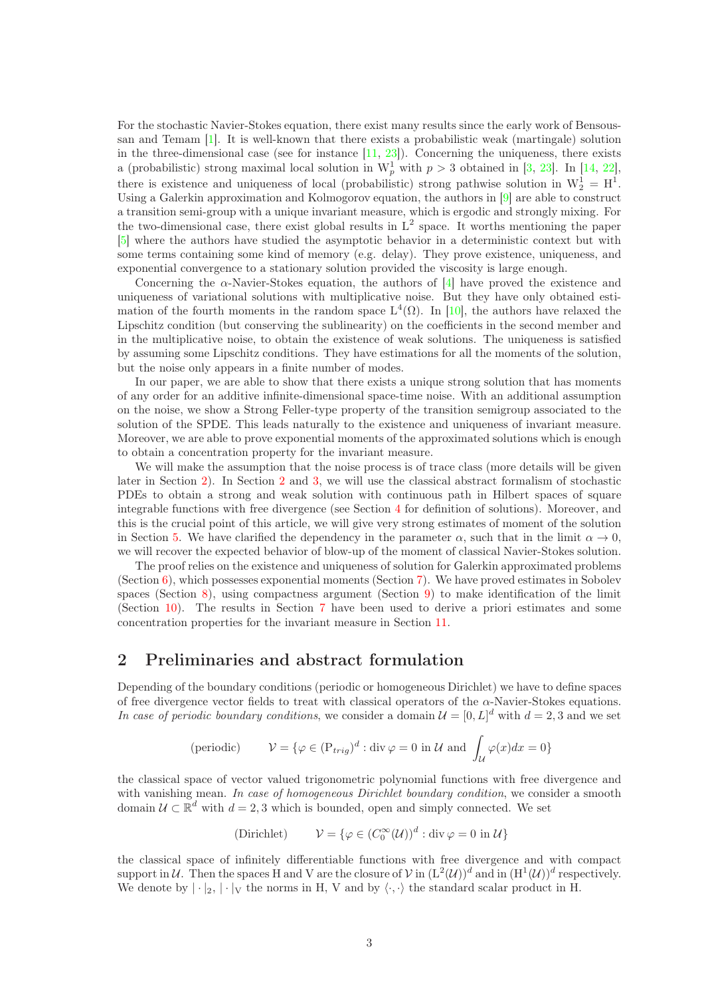For the stochastic Navier-Stokes equation, there exist many results since the early work of Bensoussan and Temam [\[1\]](#page-21-2). It is well-known that there exists a probabilistic weak (martingale) solution in the three-dimensional case (see for instance  $[11, 23]$  $[11, 23]$ ). Concerning the uniqueness, there exists a (probabilistic) strong maximal local solution in  $W_p^1$  with  $p > 3$  obtained in [\[3,](#page-21-3) [23\]](#page-22-9). In [\[14,](#page-22-10) [22\]](#page-22-11), there is existence and uniqueness of local (probabilistic) strong pathwise solution in  $W_2^1 = H^1$ . Using a Galerkin approximation and Kolmogorov equation, the authors in [\[9\]](#page-22-12) are able to construct a transition semi-group with a unique invariant measure, which is ergodic and strongly mixing. For the two-dimensional case, there exist global results in  $L^2$  space. It worths mentioning the paper [\[5\]](#page-21-4) where the authors have studied the asymptotic behavior in a deterministic context but with some terms containing some kind of memory (e.g. delay). They prove existence, uniqueness, and exponential convergence to a stationary solution provided the viscosity is large enough.

Concerning the α-Navier-Stokes equation, the authors of [\[4\]](#page-21-5) have proved the existence and uniqueness of variational solutions with multiplicative noise. But they have only obtained estimation of the fourth moments in the random space  $L^4(\Omega)$ . In [\[10\]](#page-22-13), the authors have relaxed the Lipschitz condition (but conserving the sublinearity) on the coefficients in the second member and in the multiplicative noise, to obtain the existence of weak solutions. The uniqueness is satisfied by assuming some Lipschitz conditions. They have estimations for all the moments of the solution, but the noise only appears in a finite number of modes.

In our paper, we are able to show that there exists a unique strong solution that has moments of any order for an additive infinite-dimensional space-time noise. With an additional assumption on the noise, we show a Strong Feller-type property of the transition semigroup associated to the solution of the SPDE. This leads naturally to the existence and uniqueness of invariant measure. Moreover, we are able to prove exponential moments of the approximated solutions which is enough to obtain a concentration property for the invariant measure.

We will make the assumption that the noise process is of trace class (more details will be given later in Section [2\)](#page-2-0). In Section [2](#page-2-0) and [3,](#page-4-0) we will use the classical abstract formalism of stochastic PDEs to obtain a strong and weak solution with continuous path in Hilbert spaces of square integrable functions with free divergence (see Section [4](#page-5-0) for definition of solutions). Moreover, and this is the crucial point of this article, we will give very strong estimates of moment of the solution in Section [5.](#page-6-0) We have clarified the dependency in the parameter  $\alpha$ , such that in the limit  $\alpha \to 0$ , we will recover the expected behavior of blow-up of the moment of classical Navier-Stokes solution.

The proof relies on the existence and uniqueness of solution for Galerkin approximated problems (Section  $6$ ), which possesses exponential moments (Section  $7$ ). We have proved estimates in Sobolev spaces (Section [8\)](#page-10-0), using compactness argument (Section [9\)](#page-11-0) to make identification of the limit (Section [10\)](#page-12-0). The results in Section [7](#page-9-0) have been used to derive a priori estimates and some concentration properties for the invariant measure in Section [11.](#page-16-0)

# <span id="page-2-0"></span>2 Preliminaries and abstract formulation

Depending of the boundary conditions (periodic or homogeneous Dirichlet) we have to define spaces of free divergence vector fields to treat with classical operators of the  $\alpha$ -Navier-Stokes equations. In case of periodic boundary conditions, we consider a domain  $\mathcal{U} = [0, L]^d$  with  $d = 2, 3$  and we set

$$
\text{(periodic)} \qquad \mathcal{V} = \{ \varphi \in (\mathcal{P}_{trig})^d : \text{div}\,\varphi = 0 \text{ in } \mathcal{U} \text{ and } \int_{\mathcal{U}} \varphi(x)dx = 0 \}
$$

the classical space of vector valued trigonometric polynomial functions with free divergence and with vanishing mean. In case of homogeneous Dirichlet boundary condition, we consider a smooth domain  $\mathcal{U} \subset \mathbb{R}^d$  with  $d = 2, 3$  which is bounded, open and simply connected. We set

(Dirichlet) 
$$
\mathcal{V} = \{ \varphi \in (C_0^{\infty}(\mathcal{U}))^d : \text{div } \varphi = 0 \text{ in } \mathcal{U} \}
$$

the classical space of infinitely differentiable functions with free divergence and with compact support in U. Then the spaces H and V are the closure of V in  $(L^2(\mathcal{U}))^d$  and in  $(H^1(\mathcal{U}))^d$  respectively. We denote by  $|\cdot|_2, |\cdot|_V$  the norms in H, V and by  $\langle \cdot, \cdot \rangle$  the standard scalar product in H.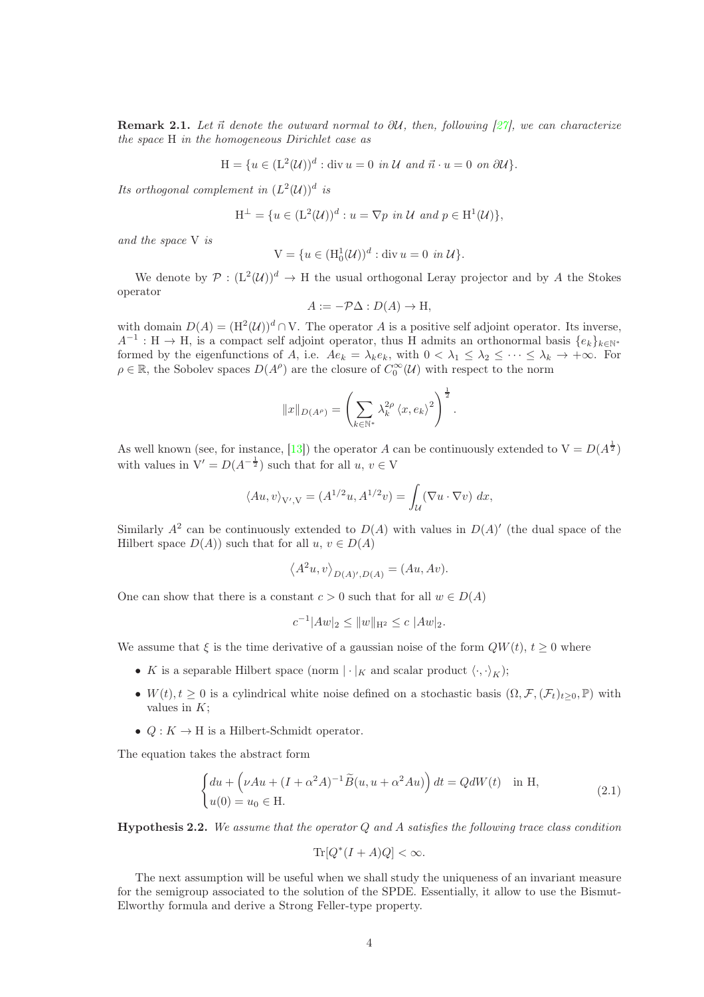**Remark 2.1.** Let  $\vec{n}$  denote the outward normal to  $\partial U$ , then, following [\[27\]](#page-23-0), we can characterize the space H in the homogeneous Dirichlet case as

$$
H = \{ u \in (L^{2}(\mathcal{U}))^{d} : \text{div } u = 0 \text{ in } \mathcal{U} \text{ and } \vec{n} \cdot u = 0 \text{ on } \partial \mathcal{U} \}.
$$

Its orthogonal complement in  $(L^2(\mathcal{U}))^d$  is

$$
\mathcal{H}^{\perp} = \{ u \in (\mathcal{L}^2(\mathcal{U}))^d : u = \nabla p \text{ in } \mathcal{U} \text{ and } p \in \mathcal{H}^1(\mathcal{U}) \},
$$

and the space V is

$$
V = \{ u \in (H_0^1(\mathcal{U}))^d : \text{div } u = 0 \text{ in } \mathcal{U} \}.
$$

We denote by  $P: (L^2(\mathcal{U}))^d \to H$  the usual orthogonal Leray projector and by A the Stokes operator

$$
A := -\mathcal{P}\Delta : D(A) \to \mathcal{H},
$$

with domain  $D(A) = (H^2(\mathcal{U}))^d \cap V$ . The operator A is a positive self adjoint operator. Its inverse,  $A^{-1}: H \to H$ , is a compact self adjoint operator, thus H admits an orthonormal basis  $\{e_k\}_{k\in\mathbb{N}^*}$ formed by the eigenfunctions of A, i.e.  $Ae_k = \lambda_k e_k$ , with  $0 < \lambda_1 \leq \lambda_2 \leq \cdots \leq \lambda_k \to +\infty$ . For  $\rho \in \mathbb{R}$ , the Sobolev spaces  $D(A^{\rho})$  are the closure of  $C_0^{\infty}(\mathcal{U})$  with respect to the norm

$$
||x||_{D(A^{\rho})} = \left(\sum_{k \in \mathbb{N}^*} \lambda_k^{2\rho} \langle x, e_k \rangle^2\right)^{\frac{1}{2}}.
$$

As well known (see, for instance, [\[13\]](#page-22-14)) the operator A can be continuously extended to  $V = D(A^{\frac{1}{2}})$ with values in  $V' = D(A^{-\frac{1}{2}})$  such that for all  $u, v \in V$ 

$$
\langle Au, v \rangle_{V', V} = (A^{1/2}u, A^{1/2}v) = \int_{\mathcal{U}} (\nabla u \cdot \nabla v) \, dx,
$$

Similarly  $A^2$  can be continuously extended to  $D(A)$  with values in  $D(A)'$  (the dual space of the Hilbert space  $D(A)$  such that for all  $u, v \in D(A)$ 

$$
\langle A^2 u, v \rangle_{D(A)',D(A)} = (Au, Av).
$$

One can show that there is a constant  $c > 0$  such that for all  $w \in D(A)$ 

$$
c^{-1}|Aw|_2 \leq ||w||_{\mathcal{H}^2} \leq c \ |Aw|_2.
$$

We assume that  $\xi$  is the time derivative of a gaussian noise of the form  $QW(t)$ ,  $t > 0$  where

- K is a separable Hilbert space (norm  $|\cdot|_K$  and scalar product  $\langle \cdot, \cdot \rangle_K$ );
- $W(t)$ ,  $t > 0$  is a cylindrical white noise defined on a stochastic basis  $(\Omega, \mathcal{F}, (\mathcal{F}_t)_{t>0}, \mathbb{P})$  with values in  $K$ :
- $Q: K \to H$  is a Hilbert-Schmidt operator.

The equation takes the abstract form

<span id="page-3-1"></span>
$$
\begin{cases} du + \left(\nu Au + (I + \alpha^2 A)^{-1} \tilde{B}(u, u + \alpha^2 Au)\right) dt = QdW(t) & \text{in H,} \\ u(0) = u_0 \in \mathcal{H}. \end{cases}
$$
(2.1)

<span id="page-3-0"></span>**Hypothesis 2.2.** We assume that the operator Q and A satisfies the following trace class condition

$$
\text{Tr}[Q^*(I+A)Q] < \infty.
$$

The next assumption will be useful when we shall study the uniqueness of an invariant measure for the semigroup associated to the solution of the SPDE. Essentially, it allow to use the Bismut-Elworthy formula and derive a Strong Feller-type property.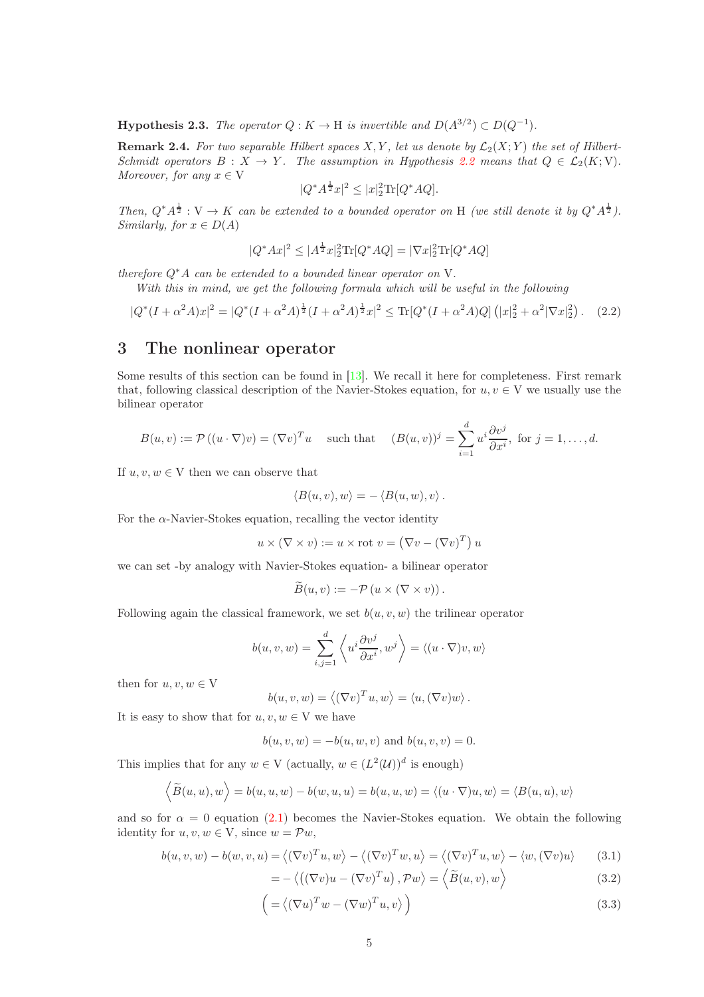<span id="page-4-1"></span>**Hypothesis 2.3.** The operator  $Q: K \to H$  is invertible and  $D(A^{3/2}) \subset D(Q^{-1})$ .

**Remark 2.4.** For two separable Hilbert spaces X, Y, let us denote by  $\mathcal{L}_2(X; Y)$  the set of Hilbert-Schmidt operators  $B: X \to Y$ . The assumption in Hypothesis [2.2](#page-3-0) means that  $Q \in \mathcal{L}_2(K; V)$ . Moreover, for any  $x \in V$ 

$$
|Q^*A^{\frac{1}{2}}x|^2 \le |x|_2^2 \text{Tr}[Q^*AQ].
$$

Then,  $Q^*A^{\frac{1}{2}} : V \to K$  can be extended to a bounded operator on H (we still denote it by  $Q^*A^{\frac{1}{2}}$ ). Similarly, for  $x \in D(A)$ 

$$
|Q^*Ax|^2 \le |A^{\frac{1}{2}}x|_2^2 \text{Tr}[Q^*AQ] = |\nabla x|_2^2 \text{Tr}[Q^*AQ]
$$

therefore  $Q^*A$  can be extended to a bounded linear operator on V.

With this in mind, we get the following formula which will be useful in the following

<span id="page-4-2"></span>
$$
|Q^*(I + \alpha^2 A)x|^2 = |Q^*(I + \alpha^2 A)^{\frac{1}{2}}(I + \alpha^2 A)^{\frac{1}{2}}x|^2 \le \text{Tr}[Q^*(I + \alpha^2 A)Q] \left( |x|_2^2 + \alpha^2 |\nabla x|_2^2 \right). \tag{2.2}
$$

# <span id="page-4-0"></span>3 The nonlinear operator

Some results of this section can be found in  $[13]$ . We recall it here for completeness. First remark that, following classical description of the Navier-Stokes equation, for  $u, v \in V$  we usually use the bilinear operator

$$
B(u, v) := \mathcal{P}((u \cdot \nabla)v) = (\nabla v)^T u \quad \text{ such that } \quad (B(u, v))^j = \sum_{i=1}^d u^i \frac{\partial v^j}{\partial x^i}, \text{ for } j = 1, \dots, d.
$$

If  $u, v, w \in V$  then we can observe that

$$
\langle B(u,v),w\rangle=-\langle B(u,w),v\rangle.
$$

For the  $\alpha$ -Navier-Stokes equation, recalling the vector identity

$$
u \times (\nabla \times v) := u \times \text{rot } v = (\nabla v - (\nabla v)^T) u
$$

we can set -by analogy with Navier-Stokes equation- a bilinear operator

$$
\widetilde{B}(u,v) := -\mathcal{P}\left(u \times (\nabla \times v)\right).
$$

Following again the classical framework, we set  $b(u, v, w)$  the trilinear operator

$$
b(u, v, w) = \sum_{i,j=1}^{d} \left\langle u^i \frac{\partial v^j}{\partial x^i}, w^j \right\rangle = \left\langle (u \cdot \nabla)v, w \right\rangle
$$

then for  $u, v, w \in V$ 

$$
b(u, v, w) = \langle (\nabla v)^T u, w \rangle = \langle u, (\nabla v) w \rangle.
$$

It is easy to show that for  $u, v, w \in V$  we have

$$
b(u, v, w) = -b(u, w, v)
$$
 and  $b(u, v, v) = 0$ .

This implies that for any  $w \in V$  (actually,  $w \in (L^2(\mathcal{U}))^d$  is enough)

= −

$$
\langle \widetilde{B}(u, u), w \rangle = b(u, u, w) - b(w, u, u) = b(u, u, w) = \langle (u \cdot \nabla)u, w \rangle = \langle B(u, u), w \rangle
$$

and so for  $\alpha = 0$  equation [\(2.1\)](#page-3-1) becomes the Navier-Stokes equation. We obtain the following identity for  $u, v, w \in V$ , since  $w = \mathcal{P}w$ ,

$$
b(u, v, w) - b(w, v, u) = \langle (\nabla v)^T u, w \rangle - \langle (\nabla v)^T w, u \rangle = \langle (\nabla v)^T u, w \rangle - \langle w, (\nabla v) u \rangle \tag{3.1}
$$

$$
-\langle ((\nabla v)u - (\nabla v)^T u), \mathcal{P} w \rangle = \langle \widetilde{B}(u, v), w \rangle \tag{3.2}
$$

$$
\left( = \langle (\nabla u)^T w - (\nabla w)^T u, v \rangle \right) \tag{3.3}
$$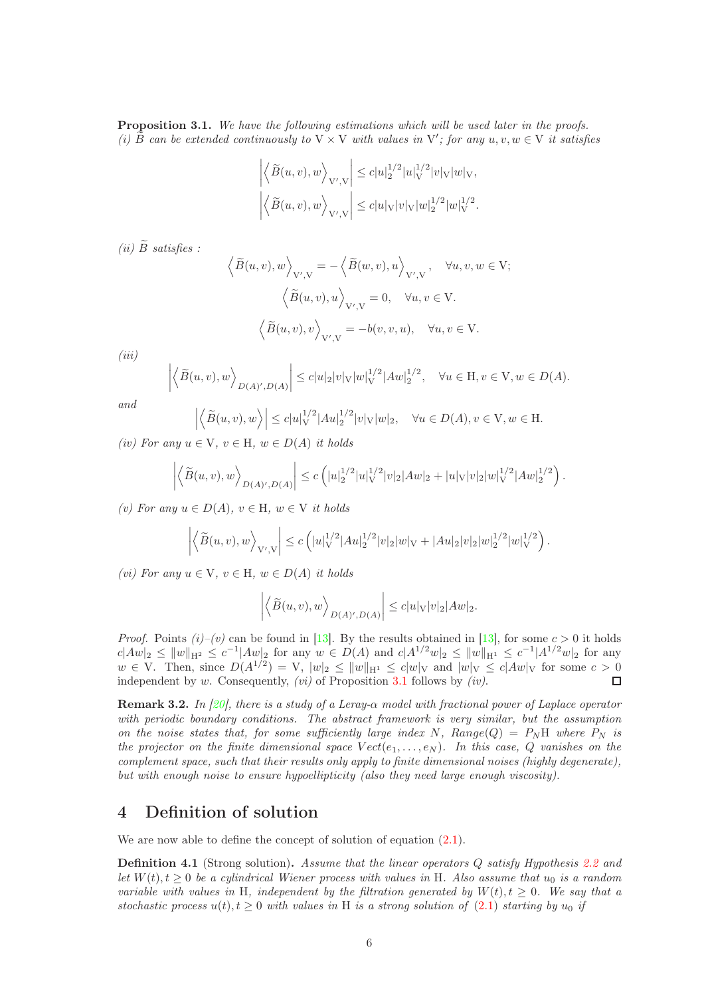<span id="page-5-1"></span>Proposition 3.1. We have the following estimations which will be used later in the proofs. (i)  $\widetilde{B}$  can be extended continuously to  $V \times V$  with values in  $V'$ ; for any  $u, v, w \in V$  it satisfies

$$
\left| \left\langle \widetilde{B}(u,v),w \right\rangle_{\mathcal{V}',\mathcal{V}} \right| \leq c|u|_2^{1/2}|u|_{\mathcal{V}}^{1/2}|v|_{\mathcal{V}}|w|_{\mathcal{V}},
$$
  

$$
\left| \left\langle \widetilde{B}(u,v),w \right\rangle_{\mathcal{V}',\mathcal{V}} \right| \leq c|u|_{\mathcal{V}}|v|_{\mathcal{V}}|w|_2^{1/2}|w|_{\mathcal{V}}^{1/2}.
$$

(ii)  $\tilde{B}$  satisfies :

 $\overline{\phantom{a}}$  $\overline{\phantom{a}}$  $\overline{\phantom{a}}$  $\overline{\phantom{a}}$ 

$$
\left\langle \widetilde{B}(u,v), w \right\rangle_{V',V} = -\left\langle \widetilde{B}(w,v), u \right\rangle_{V',V}, \quad \forall u, v, w \in V; \left\langle \widetilde{B}(u,v), u \right\rangle_{V',V} = 0, \quad \forall u, v \in V. \left\langle \widetilde{B}(u,v), v \right\rangle_{V',V} = -b(v,v,u), \quad \forall u, v \in V.
$$

 $(iii)$ 

$$
\left\langle \widetilde{B}(u,v),w \right\rangle_{D(A)',D(A)} \leq c|u|_2|v|_V|w|_V^{1/2}|Aw|_2^{1/2}, \quad \forall u \in \mathcal{H}, v \in \mathcal{V}, w \in D(A).
$$

and

$$
\left| \left\langle \widetilde{B}(u,v), w \right\rangle \right| \leq c|u|_V^{1/2} |Au|_2^{1/2} |v|_V |w|_2, \quad \forall u \in D(A), v \in V, w \in H.
$$

(iv) For any  $u \in V$ ,  $v \in H$ ,  $w \in D(A)$  it holds

$$
\left| \left\langle \widetilde{B}(u,v), w \right\rangle_{D(A)',D(A)} \right| \leq c \left( |u_2^{1/2}|u|_V^{1/2} |v_2|Aw|_2 + |u|_V |v|_2 |w|_V^{1/2} |Aw|_2^{1/2} \right).
$$

(v) For any  $u \in D(A)$ ,  $v \in H$ ,  $w \in V$  it holds

$$
\left|\left\langle \widetilde{B}(u,v),w\right\rangle_{\mathcal{V}',\mathcal{V}}\right|\leq c\left(|u|_{\mathcal{V}}^{1/2}|Au|_2^{1/2}|v|_2|w|_{\mathcal{V}}+|Au|_2|v|_2|w|_2^{1/2}|w|_{\mathcal{V}}^{1/2}\right).
$$

(vi) For any  $u \in V$ ,  $v \in H$ ,  $w \in D(A)$  it holds

$$
\left| \left\langle \widetilde{B}(u,v), w \right\rangle_{D(A)',D(A)} \right| \leq c |u|_{V} |v|_{2} |Aw|_{2}.
$$

*Proof.* Points  $(i)-(v)$  can be found in [\[13\]](#page-22-14). By the results obtained in [13], for some  $c > 0$  it holds  $c|Aw|_2 \le ||w||_{H^2} \le c^{-1}|Aw|_2$  for any  $w \in D(A)$  and  $c|A^{1/2}w|_2 \le ||w||_{H^1} \le c^{-1}|A^{1/2}w|_2$  for any  $w \in V$ . Then, since  $D(A^{1/2}) = V$ ,  $|w|_2 \le ||w||_{H^1} \le c|w|_V$  and  $|w|_V \le c|Aw|_V$  for some  $c > 0$ independent by w. Consequently,  $(vi)$  of Proposition [3.1](#page-5-1) follows by  $(iv)$ .

Remark 3.2. In [\[20\]](#page-22-15), there is a study of a Leray- $\alpha$  model with fractional power of Laplace operator with periodic boundary conditions. The abstract framework is very similar, but the assumption on the noise states that, for some sufficiently large index N, Range(Q) =  $P_N$ H where  $P_N$  is the projector on the finite dimensional space  $Vect(e_1, \ldots, e_N)$ . In this case, Q vanishes on the complement space, such that their results only apply to finite dimensional noises (highly degenerate), but with enough noise to ensure hypoellipticity (also they need large enough viscosity).

# <span id="page-5-0"></span>4 Definition of solution

We are now able to define the concept of solution of equation  $(2.1)$ .

<span id="page-5-2"></span>**Definition 4.1** (Strong solution). Assume that the linear operators Q satisfy Hypothesis [2.2](#page-3-0) and let  $W(t)$ ,  $t \geq 0$  be a cylindrical Wiener process with values in H. Also assume that  $u_0$  is a random variable with values in H, independent by the filtration generated by  $W(t)$ ,  $t \geq 0$ . We say that a stochastic process  $u(t)$ ,  $t \geq 0$  with values in H is a strong solution of [\(2.1\)](#page-3-1) starting by  $u_0$  if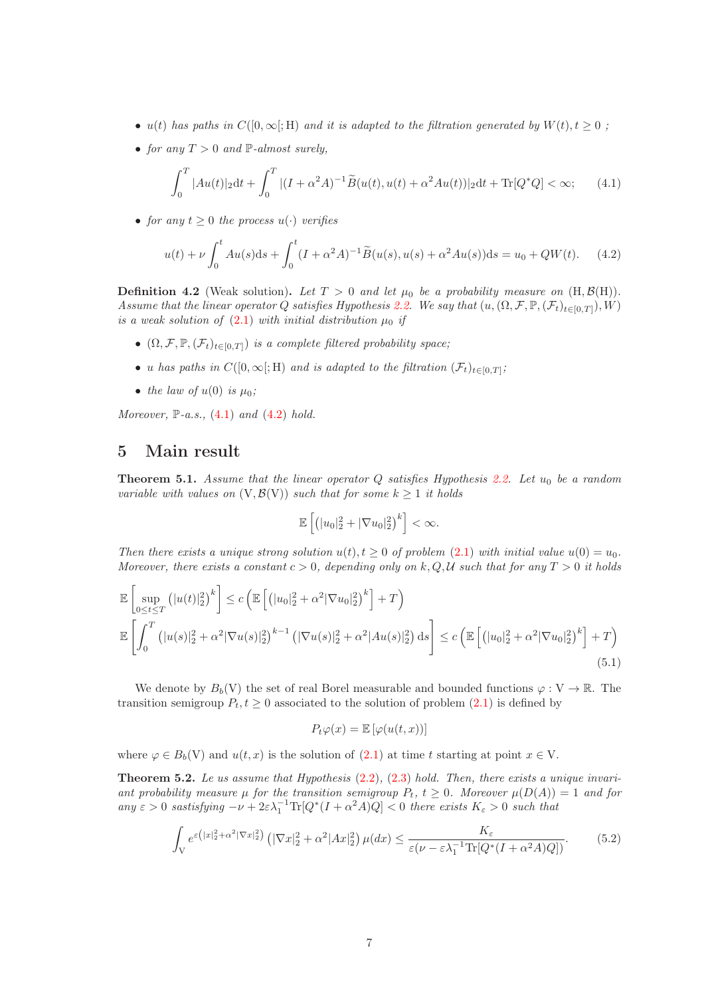- u(t) has paths in  $C([0,\infty];\mathbb{H})$  and it is adapted to the filtration generated by  $W(t), t \geq 0$ ;
- for any  $T > 0$  and  $\mathbb{P}\text{-almost surely},$

<span id="page-6-1"></span>
$$
\int_0^T |Au(t)|_2 dt + \int_0^T |(I + \alpha^2 A)^{-1} \widetilde{B}(u(t), u(t) + \alpha^2 Au(t))|_2 dt + \text{Tr}[Q^* Q] < \infty; \tag{4.1}
$$

• for any  $t > 0$  the process  $u(\cdot)$  verifies

<span id="page-6-2"></span>
$$
u(t) + \nu \int_0^t Au(s)ds + \int_0^t (I + \alpha^2 A)^{-1} \widetilde{B}(u(s), u(s) + \alpha^2 Au(s))ds = u_0 + QW(t). \tag{4.2}
$$

<span id="page-6-5"></span>**Definition 4.2** (Weak solution). Let  $T > 0$  and let  $\mu_0$  be a probability measure on  $(H, \mathcal{B}(H))$ . Assume that the linear operator Q satisfies Hypothesis [2.2.](#page-3-0) We say that  $(u,(\Omega,\mathcal{F},\mathbb{P},(\mathcal{F}_t)_{t\in[0,T]}),W)$ is a weak solution of  $(2.1)$  with initial distribution  $\mu_0$  if

- $(\Omega, \mathcal{F}, \mathbb{P}, (\mathcal{F}_t)_{t \in [0,T]})$  is a complete filtered probability space;
- u has paths in  $C([0,\infty[; \mathrm{H})$  and is adapted to the filtration  $(\mathcal{F}_t)_{t \in [0,T]};$
- the law of  $u(0)$  is  $\mu_0$ ;

Moreover,  $\mathbb{P}\text{-}a.s.,$  [\(4.1\)](#page-6-1) and [\(4.2\)](#page-6-2) hold.

## <span id="page-6-0"></span>5 Main result

<span id="page-6-3"></span>**Theorem 5.1.** Assume that the linear operator  $Q$  satisfies Hypothesis [2.2.](#page-3-0) Let  $u_0$  be a random variable with values on  $(V, \mathcal{B}(V))$  such that for some  $k \geq 1$  it holds

$$
\mathbb{E}\left[\left(|u_0|_2^2+|\nabla u_0|_2^2\right)^k\right]<\infty.
$$

Then there exists a unique strong solution  $u(t)$ ,  $t \geq 0$  of problem [\(2.1\)](#page-3-1) with initial value  $u(0) = u_0$ . Moreover, there exists a constant  $c > 0$ , depending only on k, Q, U such that for any  $T > 0$  it holds

<span id="page-6-4"></span>
$$
\mathbb{E}\left[\sup_{0\leq t\leq T}\left(|u(t)|_2^2\right)^k\right] \leq c\left(\mathbb{E}\left[\left(|u_0|_2^2 + \alpha^2|\nabla u_0|_2^2\right)^k\right] + T\right)
$$
\n
$$
\mathbb{E}\left[\int_0^T \left(|u(s)|_2^2 + \alpha^2|\nabla u(s)|_2^2\right)^{k-1}\left(|\nabla u(s)|_2^2 + \alpha^2|Au(s)|_2^2\right)ds\right] \leq c\left(\mathbb{E}\left[\left(|u_0|_2^2 + \alpha^2|\nabla u_0|_2^2\right)^k\right] + T\right)
$$
\n(5.1)

We denote by  $B_b(V)$  the set of real Borel measurable and bounded functions  $\varphi: V \to \mathbb{R}$ . The transition semigroup  $P_t, t \geq 0$  associated to the solution of problem [\(2.1\)](#page-3-1) is defined by

$$
P_t\varphi(x) = \mathbb{E}\left[\varphi(u(t,x))\right]
$$

where  $\varphi \in B_b(V)$  and  $u(t, x)$  is the solution of  $(2.1)$  at time t starting at point  $x \in V$ .

<span id="page-6-6"></span>**Theorem 5.2.** Le us assume that Hypothesis  $(2.2)$ ,  $(2.3)$  hold. Then, there exists a unique invariant probability measure  $\mu$  for the transition semigroup  $P_t$ ,  $t \geq 0$ . Moreover  $\mu(D(A)) = 1$  and for any  $\varepsilon > 0$  sastisfying  $-\nu + 2\varepsilon\lambda_1^{-1} \text{Tr}[Q^*(I + \alpha^2 A)Q] < 0$  there exists  $K_{\varepsilon} > 0$  such that

<span id="page-6-7"></span>
$$
\int_{V} e^{\varepsilon\left(|x|_{2}^{2}+\alpha^{2}|\nabla x|_{2}^{2}\right)} \left(|\nabla x|_{2}^{2}+\alpha^{2}|Ax|_{2}^{2}\right) \mu(dx) \leq \frac{K_{\varepsilon}}{\varepsilon(\nu-\varepsilon\lambda_{1}^{-1}\text{Tr}[Q^{*}(I+\alpha^{2}A)Q])}.\tag{5.2}
$$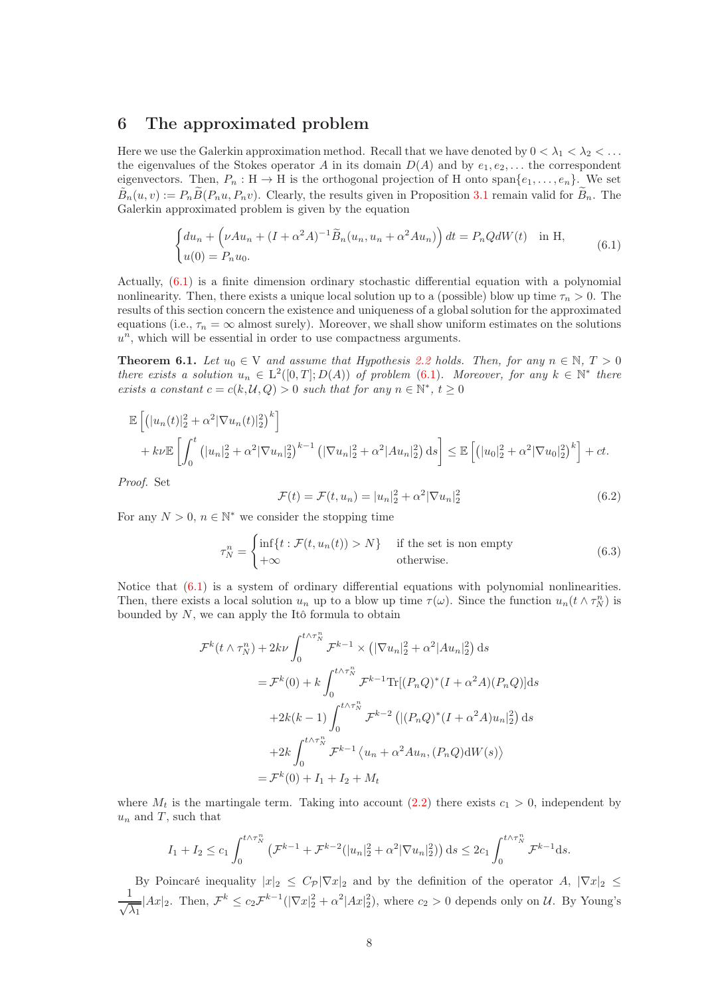## <span id="page-7-0"></span>6 The approximated problem

Here we use the Galerkin approximation method. Recall that we have denoted by  $0 < \lambda_1 < \lambda_2 < \ldots$ the eigenvalues of the Stokes operator A in its domain  $D(A)$  and by  $e_1, e_2, \ldots$  the correspondent eigenvectors. Then,  $P_n : H \to H$  is the orthogonal projection of H onto  $\text{span}\{e_1, \ldots, e_n\}$ . We set  $\tilde{B}_n(u, v) := P_n \tilde{B}(P_n u, P_n v)$ . Clearly, the results given in Proposition [3.1](#page-5-1) remain valid for  $\tilde{B}_n$ . The Galerkin approximated problem is given by the equation

<span id="page-7-1"></span>
$$
\begin{cases} du_n + \left(\nu A u_n + (I + \alpha^2 A)^{-1} \tilde{B}_n(u_n, u_n + \alpha^2 A u_n)\right) dt = P_n Q dW(t) & \text{in H}, \\ u(0) = P_n u_0. \end{cases}
$$
(6.1)

Actually, [\(6.1\)](#page-7-1) is a finite dimension ordinary stochastic differential equation with a polynomial nonlinearity. Then, there exists a unique local solution up to a (possible) blow up time  $\tau_n > 0$ . The results of this section concern the existence and uniqueness of a global solution for the approximated equations (i.e.,  $\tau_n = \infty$  almost surely). Moreover, we shall show uniform estimates on the solutions  $u<sup>n</sup>$ , which will be essential in order to use compactness arguments.

<span id="page-7-2"></span>**Theorem 6.1.** Let  $u_0 \in V$  and assume that Hypothesis [2.2](#page-3-0) holds. Then, for any  $n \in \mathbb{N}$ ,  $T > 0$ there exists a solution  $u_n \in L^2([0,T];D(A))$  of problem [\(6.1\)](#page-7-1). Moreover, for any  $k \in \mathbb{N}^*$  there exists a constant  $c = c(k, \mathcal{U}, Q) > 0$  such that for any  $n \in \mathbb{N}^*$ ,  $t \geq 0$ 

$$
\mathbb{E}\left[\left(|u_n(t)|_2^2 + \alpha^2 |\nabla u_n(t)|_2^2\right)^k\right] + k\nu \mathbb{E}\left[\int_0^t \left(|u_n|_2^2 + \alpha^2 |\nabla u_n|_2^2\right)^{k-1} \left(|\nabla u_n|_2^2 + \alpha^2 |Au_n|_2^2\right) ds\right] \leq \mathbb{E}\left[\left(|u_0|_2^2 + \alpha^2 |\nabla u_0|_2^2\right)^k\right] + ct.
$$

Proof. Set

<span id="page-7-3"></span>
$$
\mathcal{F}(t) = \mathcal{F}(t, u_n) = |u_n|^2 + \alpha^2 |\nabla u_n|^2
$$
\n(6.2)

For any  $N > 0$ ,  $n \in \mathbb{N}^*$  we consider the stopping time

<span id="page-7-4"></span>
$$
\tau_N^n = \begin{cases} \inf\{t : \mathcal{F}(t, u_n(t)) > N\} & \text{if the set is non empty} \\ +\infty & \text{otherwise.} \end{cases}
$$
(6.3)

Notice that [\(6.1\)](#page-7-1) is a system of ordinary differential equations with polynomial nonlinearities. Then, there exists a local solution  $u_n$  up to a blow up time  $\tau(\omega)$ . Since the function  $u_n(t \wedge \tau_N^n)$  is bounded by  $N$ , we can apply the Itô formula to obtain

$$
\mathcal{F}^{k}(t \wedge \tau_{N}^{n}) + 2k\nu \int_{0}^{t \wedge \tau_{N}^{n}} \mathcal{F}^{k-1} \times (|\nabla u_{n}|_{2}^{2} + \alpha^{2}|Au_{n}|_{2}^{2}) ds
$$
  
\n
$$
= \mathcal{F}^{k}(0) + k \int_{0}^{t \wedge \tau_{N}^{n}} \mathcal{F}^{k-1} \text{Tr}[(P_{n}Q)^{*}(I + \alpha^{2}A)(P_{n}Q)] ds
$$
  
\n
$$
+ 2k(k-1) \int_{0}^{t \wedge \tau_{N}^{n}} \mathcal{F}^{k-2} (|(P_{n}Q)^{*}(I + \alpha^{2}A)u_{n}|_{2}^{2}) ds
$$
  
\n
$$
+ 2k \int_{0}^{t \wedge \tau_{N}^{n}} \mathcal{F}^{k-1} \langle u_{n} + \alpha^{2}Au_{n}, (P_{n}Q)dW(s) \rangle
$$
  
\n
$$
= \mathcal{F}^{k}(0) + I_{1} + I_{2} + M_{t}
$$

where  $M_t$  is the martingale term. Taking into account [\(2.2\)](#page-4-2) there exists  $c_1 > 0$ , independent by  $u_n$  and T, such that

$$
I_1 + I_2 \le c_1 \int_0^{t \wedge \tau_N^n} \left( \mathcal{F}^{k-1} + \mathcal{F}^{k-2}(|u_n|_2^2 + \alpha^2 |\nabla u_n|_2^2) \right) ds \le 2c_1 \int_0^{t \wedge \tau_N^n} \mathcal{F}^{k-1} ds.
$$

By Poincaré inequality  $|x|_2 \leq C_P |\nabla x|_2$  and by the definition of the operator  $A$ ,  $|\nabla x|_2 \leq$ <br> $\frac{1}{1+4}$   $\frac{1}{1+4}$   $\frac{1}{1+4}$   $\frac{1}{1+4}$   $\frac{1}{1+4}$   $\frac{1}{1+4}$   $\frac{1}{1+4}$   $\frac{1}{1+4}$   $\frac{1}{1+4}$   $\frac{1}{1+4}$   $\frac{1}{\sqrt{\lambda_1}}$  |  $Ax|_2$ . Then,  $\mathcal{F}^k \leq c_2 \mathcal{F}^{k-1}(|\nabla x|_2^2 + \alpha^2 |Ax|_2^2)$ , where  $c_2 > 0$  depends only on  $\mathcal{U}$ . By Young's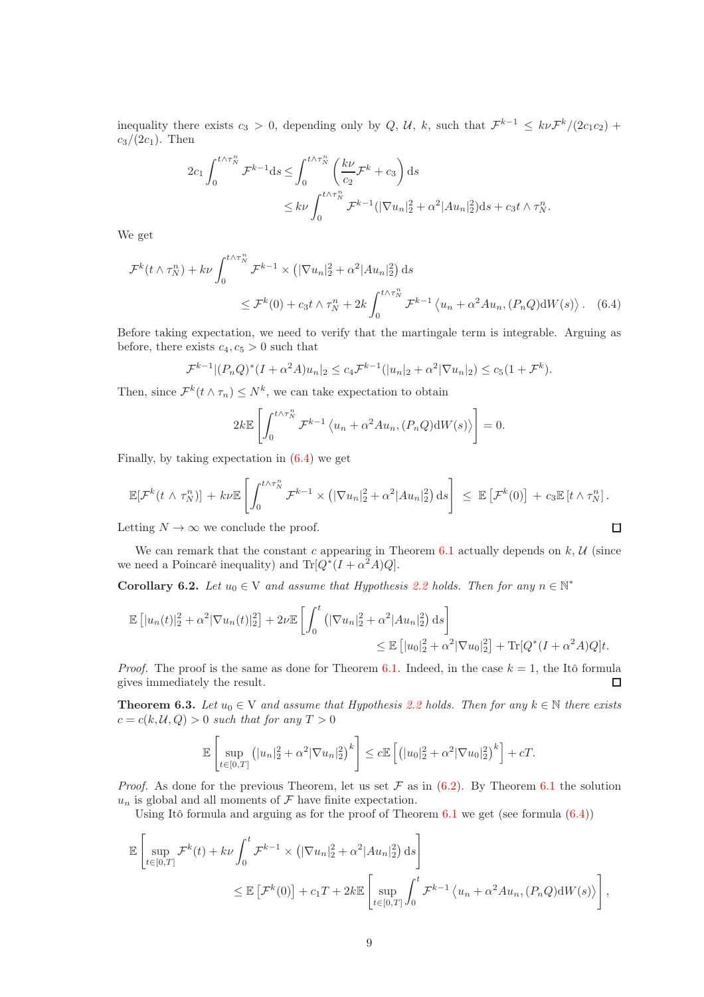inequality there exists  $c_3 > 0$ , depending only by Q, U, k, such that  $\mathcal{F}^{k-1} \leq k \nu \mathcal{F}^{k}/(2c_1c_2)$  +  $c_3/(2c_1)$ . Then

$$
2c_1 \int_0^{t \wedge \tau_N^n} \mathcal{F}^{k-1} \mathrm{d}s \le \int_0^{t \wedge \tau_N^n} \left(\frac{k\nu}{c_2} \mathcal{F}^k + c_3\right) \mathrm{d}s
$$
  

$$
\le k\nu \int_0^{t \wedge \tau_N^n} \mathcal{F}^{k-1}(|\nabla u_n|_2^2 + \alpha^2 |Au_n|_2^2) \mathrm{d}s + c_3 t \wedge \tau_N^n.
$$

We get

$$
\mathcal{F}^k(t \wedge \tau_N^n) + k\nu \int_0^{t \wedge \tau_N^n} \mathcal{F}^{k-1} \times \left( |\nabla u_n|_2^2 + \alpha^2 |Au_n|_2^2 \right) ds
$$
  

$$
\leq \mathcal{F}^k(0) + c_3 t \wedge \tau_N^n + 2k \int_0^{t \wedge \tau_N^n} \mathcal{F}^{k-1} \left\langle u_n + \alpha^2 Au_n, (P_n Q) dW(s) \right\rangle. \tag{6.4}
$$

Before taking expectation, we need to verify that the martingale term is integrable. Arguing as before, there exists  $c_4, c_5 > 0$  such that

$$
\mathcal{F}^{k-1} | (P_n Q)^* (I + \alpha^2 A) u_n |_2 \le c_4 \mathcal{F}^{k-1} (|u_n|_2 + \alpha^2 |\nabla u_n|_2) \le c_5 (1 + \mathcal{F}^k).
$$

Then, since  $\mathcal{F}^k(t \wedge \tau_n) \leq N^k$ , we can take expectation to obtain

<span id="page-8-0"></span>
$$
2k\mathbb{E}\left[\int_0^{t\wedge\tau_N^n} \mathcal{F}^{k-1}\left\langle u_n+\alpha^2 A u_n, (P_nQ)\mathrm{d}W(s)\right\rangle\right]=0.
$$

Finally, by taking expectation in [\(6.4\)](#page-8-0) we get

$$
\mathbb{E}[\mathcal{F}^k(t \wedge \tau_N^n)] + k\nu\mathbb{E}\left[\int_0^{t \wedge \tau_N^n} \mathcal{F}^{k-1} \times \left(|\nabla u_n|_2^2 + \alpha^2 |Au_n|_2^2\right) ds\right] \leq \mathbb{E}\left[\mathcal{F}^k(0)\right] + c_3 \mathbb{E}\left[t \wedge \tau_N^n\right].
$$
  
Letting  $N \to \infty$  we conclude the proof.

Letting  $N \to \infty$  we conclude the proof.

We can remark that the constant c appearing in Theorem [6.1](#page-7-2) actually depends on  $k, U$  (since we need a Poincaré inequality) and  $\text{Tr}[Q^*(I+\alpha^2 A)Q].$ 

<span id="page-8-2"></span>**Corollary 6.2.** Let  $u_0 \in V$  and assume that Hypothesis [2.2](#page-3-0) holds. Then for any  $n \in \mathbb{N}^*$ 

$$
\mathbb{E} [ |u_n(t)|_2^2 + \alpha^2 |\nabla u_n(t)|_2^2 ] + 2\nu \mathbb{E} \left[ \int_0^t (|\nabla u_n|_2^2 + \alpha^2 |Au_n|_2^2) ds \right]
$$
  

$$
\leq \mathbb{E} [ |u_0|_2^2 + \alpha^2 |\nabla u_0|_2^2 ] + \text{Tr}[Q^*(I + \alpha^2 A)Q]t.
$$

*Proof.* The proof is the same as done for Theorem [6.1.](#page-7-2) Indeed, in the case  $k = 1$ , the Itô formula gives immediately the result.  $\Box$ 

<span id="page-8-1"></span>**Theorem 6.3.** Let  $u_0 \in V$  and assume that Hypothesis [2.2](#page-3-0) holds. Then for any  $k \in \mathbb{N}$  there exists  $c = c(k, \mathcal{U}, Q) > 0$  such that for any  $T > 0$ 

$$
\mathbb{E}\left[\sup_{t\in[0,T]}(|u_n|_2^2+\alpha^2|\nabla u_n|_2^2)^k\right] \leq c \mathbb{E}\left[\left(|u_0|_2^2+\alpha^2|\nabla u_0|_2^2\right)^k\right] + cT.
$$

*Proof.* As done for the previous Theorem, let us set  $\mathcal F$  as in [\(6.2\)](#page-7-3). By Theorem [6.1](#page-7-2) the solution  $u_n$  is global and all moments of  $\mathcal F$  have finite expectation.

Using Itô formula and arguing as for the proof of Theorem  $6.1$  we get (see formula  $(6.4)$ )

$$
\mathbb{E}\left[\sup_{t\in[0,T]}\mathcal{F}^k(t) + k\nu \int_0^t \mathcal{F}^{k-1} \times \left( |\nabla u_n|_2^2 + \alpha^2 |Au_n|_2^2 \right) ds \right]
$$
  

$$
\leq \mathbb{E}\left[\mathcal{F}^k(0)\right] + c_1 T + 2k \mathbb{E}\left[\sup_{t\in[0,T]}\int_0^t \mathcal{F}^{k-1} \left\langle u_n + \alpha^2 Au_n, (P_n Q) dW(s) \right\rangle \right],
$$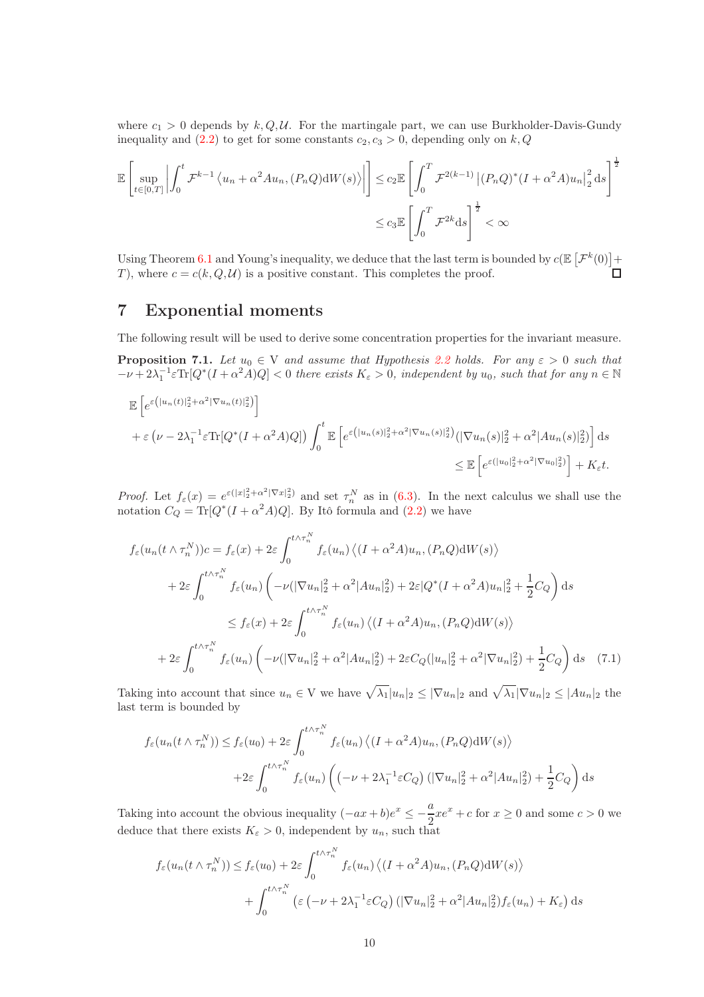where  $c_1 > 0$  depends by  $k, Q, U$ . For the martingale part, we can use Burkholder-Davis-Gundy inequality and  $(2.2)$  to get for some constants  $c_2, c_3 > 0$ , depending only on k, Q

$$
\mathbb{E}\left[\sup_{t\in[0,T]}\left|\int_0^t \mathcal{F}^{k-1}\left\langle u_n + \alpha^2 A u_n, (P_n Q) \mathrm{d}W(s)\right\rangle\right|\right] \leq c_2 \mathbb{E}\left[\int_0^T \mathcal{F}^{2(k-1)}\left|(P_n Q)^*(I + \alpha^2 A) u_n\right|_2^2 ds\right]^{\frac{1}{2}}
$$

$$
\leq c_3 \mathbb{E}\left[\int_0^T \mathcal{F}^{2k} ds\right]^{\frac{1}{2}} < \infty
$$

Using Theorem [6.1](#page-7-2) and Young's inequality, we deduce that the last term is bounded by  $c(\mathbb{E}\left[{\cal F}^k(0)\right]+$ T), where  $c = c(k, Q, \mathcal{U})$  is a positive constant. This completes the proof.  $\Box$ 

# <span id="page-9-0"></span>7 Exponential moments

The following result will be used to derive some concentration properties for the invariant measure.

<span id="page-9-1"></span>**Proposition 7.1.** Let  $u_0 \in V$  and assume that Hypothesis [2.2](#page-3-0) holds. For any  $\varepsilon > 0$  such that  $-\nu + 2\lambda_1^{-1} \varepsilon \text{Tr}[Q^*(I + \alpha^2 A)Q] < 0$  there exists  $K_{\varepsilon} > 0$ , independent by  $u_0$ , such that for any  $n \in \mathbb{N}$ 

$$
\mathbb{E}\left[e^{\varepsilon\left(|u_n(t)|_2^2+\alpha^2|\nabla u_n(t)|_2^2\right)}\right]
$$
  
+ $\varepsilon\left(\nu-2\lambda_1^{-1}\varepsilon\text{Tr}[Q^*(I+\alpha^2A)Q]\right)\int_0^t \mathbb{E}\left[e^{\varepsilon\left(|u_n(s)|_2^2+\alpha^2|\nabla u_n(s)|_2^2\right)}(|\nabla u_n(s)|_2^2+\alpha^2|Au_n(s)|_2^2\right)\right]ds$   
 $\leq \mathbb{E}\left[e^{\varepsilon\left(|u_0|_2^2+\alpha^2|\nabla u_0|_2^2\right)}\right]+K_{\varepsilon}t.$ 

*Proof.* Let  $f_{\varepsilon}(x) = e^{\varepsilon(|x|_2^2 + \alpha^2 |\nabla x|_2^2)}$  and set  $\tau_n^N$  as in [\(6.3\)](#page-7-4). In the next calculus we shall use the notation  $C_Q = \text{Tr}[Q^*(I + \alpha^2 A)Q]$ . By Itô formula and [\(2.2\)](#page-4-2) we have

$$
f_{\varepsilon}(u_n(t \wedge \tau_n^N))c = f_{\varepsilon}(x) + 2\varepsilon \int_0^{t \wedge \tau_n^N} f_{\varepsilon}(u_n) \left\langle (I + \alpha^2 A)u_n, (P_n Q)dW(s) \right\rangle
$$
  
+ 
$$
2\varepsilon \int_0^{t \wedge \tau_n^N} f_{\varepsilon}(u_n) \left( -\nu (|\nabla u_n|_2^2 + \alpha^2 |Au_n|_2^2) + 2\varepsilon |Q^*(I + \alpha^2 A)u_n|_2^2 + \frac{1}{2}C_Q \right) ds
$$
  

$$
\leq f_{\varepsilon}(x) + 2\varepsilon \int_0^{t \wedge \tau_n^N} f_{\varepsilon}(u_n) \left\langle (I + \alpha^2 A)u_n, (P_n Q)dW(s) \right\rangle
$$
  
+ 
$$
2\varepsilon \int_0^{t \wedge \tau_n^N} f_{\varepsilon}(u_n) \left( -\nu (|\nabla u_n|_2^2 + \alpha^2 |Au_n|_2^2) + 2\varepsilon C_Q (|u_n|_2^2 + \alpha^2 |\nabla u_n|_2^2) + \frac{1}{2}C_Q \right) ds \quad (7.1)
$$

Taking into account that since  $u_n \in V$  we have  $\sqrt{\lambda_1}|u_n|_2 \leq |\nabla u_n|_2$  and  $\sqrt{\lambda_1}|\nabla u_n|_2 \leq |Au_n|_2$  the last term is bounded by

$$
f_{\varepsilon}(u_n(t \wedge \tau_n^N)) \le f_{\varepsilon}(u_0) + 2\varepsilon \int_0^{t \wedge \tau_n^N} f_{\varepsilon}(u_n) \left\langle (I + \alpha^2 A)u_n, (P_n Q)dW(s) \right\rangle
$$
  
+2\varepsilon \int\_0^{t \wedge \tau\_n^N} f\_{\varepsilon}(u\_n) \left( (-\nu + 2\lambda\_1^{-1}\varepsilon C\_Q) \left( |\nabla u\_n|^2 + \alpha^2 |Au\_n|^2 \right) + \frac{1}{2} C\_Q \right) ds

Taking into account the obvious inequality  $(-ax+b)e^x \leq -\frac{a}{2}$  $\frac{a}{2}xe^{x} + c$  for  $x \ge 0$  and some  $c > 0$  we deduce that there exists  $K_{\varepsilon} > 0$ , independent by  $u_n$ , such that

$$
f_{\varepsilon}(u_n(t \wedge \tau_n^N)) \le f_{\varepsilon}(u_0) + 2\varepsilon \int_0^{t \wedge \tau_n^N} f_{\varepsilon}(u_n) \left\langle (I + \alpha^2 A)u_n, (P_n Q)dW(s) \right\rangle
$$
  
+ 
$$
\int_0^{t \wedge \tau_n^N} \left( \varepsilon \left( -\nu + 2\lambda_1^{-1} \varepsilon C_Q \right) \left( |\nabla u_n|^2 + \alpha^2 |Au_n|^2 \right) f_{\varepsilon}(u_n) + K_{\varepsilon} \right) ds
$$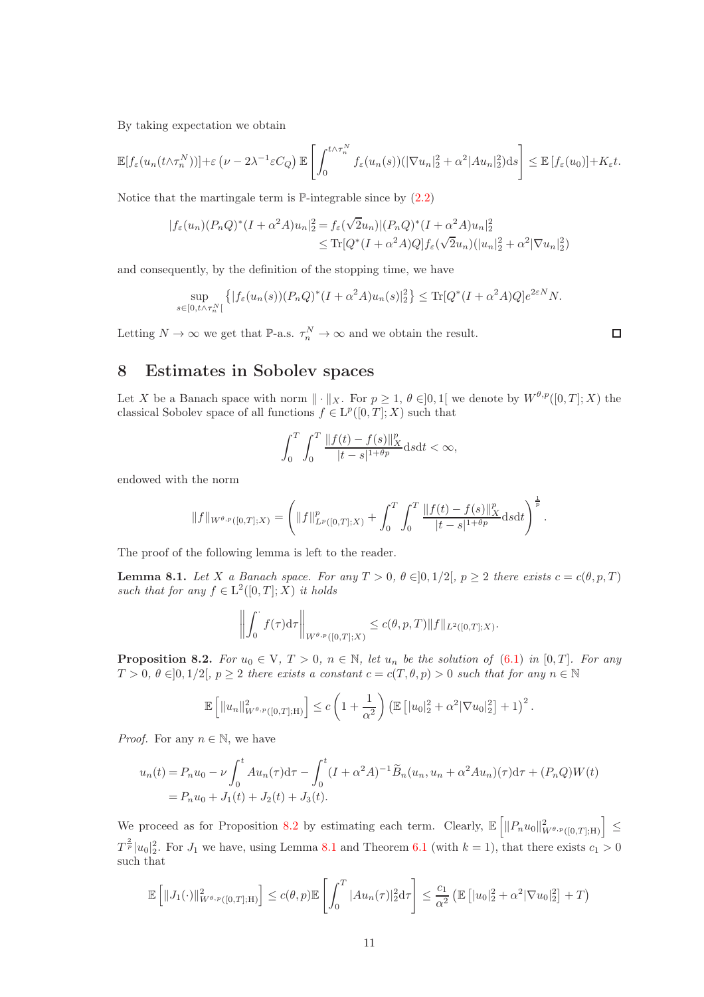By taking expectation we obtain

$$
\mathbb{E}[f_{\varepsilon}(u_n(t\wedge \tau_n^N))] + \varepsilon \left(\nu - 2\lambda^{-1}\varepsilon C_Q\right) \mathbb{E}\left[\int_0^{t\wedge \tau_n^N} f_{\varepsilon}(u_n(s))\left(|\nabla u_n|_2^2 + \alpha^2 |Au_n|_2^2\right) ds\right] \leq \mathbb{E}\left[f_{\varepsilon}(u_0)\right] + K_{\varepsilon}t.
$$

Notice that the martingale term is  $\mathbb{P}\text{-integrable since by (2.2)}$  $\mathbb{P}\text{-integrable since by (2.2)}$  $\mathbb{P}\text{-integrable since by (2.2)}$ 

$$
|f_{\varepsilon}(u_n)(P_nQ)^*(I+\alpha^2A)u_n|^2 = f_{\varepsilon}(\sqrt{2}u_n)|(P_nQ)^*(I+\alpha^2A)u_n|^2
$$
  

$$
\leq \text{Tr}[Q^*(I+\alpha^2A)Q]f_{\varepsilon}(\sqrt{2}u_n)(|u_n|^2 + \alpha^2|\nabla u_n|^2)
$$

and consequently, by the definition of the stopping time, we have

$$
\sup_{s\in[0,t\wedge\tau_n^N[} \left\{ |f_{\varepsilon}(u_n(s))(P_nQ)^*(I+\alpha^2A)u_n(s)|_2^2 \right\} \le \text{Tr}[Q^*(I+\alpha^2A)Q]e^{2\varepsilon N}N.
$$

Letting  $N \to \infty$  we get that  $\mathbb{P}\text{-a.s. } \tau_n^N \to \infty$  and we obtain the result.

 $\Box$ 

# <span id="page-10-0"></span>8 Estimates in Sobolev spaces

Let X be a Banach space with norm  $\|\cdot\|_X$ . For  $p \geq 1$ ,  $\theta \in ]0,1[$  we denote by  $W^{\theta,p}([0,T];X)$  the classical Sobolev space of all functions  $f \in \mathrm{L}^p([0,T];X)$  such that

$$
\int_0^T \int_0^T \frac{\|f(t) - f(s)\|_X^p}{|t - s|^{1 + \theta p}} ds dt < \infty,
$$

endowed with the norm

$$
||f||_{W^{\theta,p}([0,T];X)} = \left(||f||^p_{L^p([0,T];X)} + \int_0^T \int_0^T \frac{||f(t) - f(s)||^p_X}{|t - s|^{1 + \theta p}} ds dt\right)^{\frac{1}{p}}.
$$

The proof of the following lemma is left to the reader.

<span id="page-10-2"></span>**Lemma 8.1.** Let X a Banach space. For any  $T > 0$ ,  $\theta \in ]0, 1/2[$ ,  $p \ge 2$  there exists  $c = c(\theta, p, T)$ such that for any  $f \in L^2([0,T];X)$  it holds

$$
\left\| \int_0^{\cdot} f(\tau) d\tau \right\|_{W^{\theta,p}([0,T];X)} \le c(\theta, p, T) \|f\|_{L^2([0,T];X)}.
$$

<span id="page-10-1"></span>**Proposition 8.2.** For  $u_0 \in V$ ,  $T > 0$ ,  $n \in \mathbb{N}$ , let  $u_n$  be the solution of  $(6.1)$  in  $[0, T]$ . For any  $T > 0, \theta \in ]0, 1/2[, p \ge 2$  there exists a constant  $c = c(T, \theta, p) > 0$  such that for any  $n \in \mathbb{N}$ 

$$
\mathbb{E}\left[\|u_n\|_{W^{\theta,p}([0,T];\mathbb{H})}^2\right] \leq c\left(1+\frac{1}{\alpha^2}\right) \left(\mathbb{E}\left[|u_0|_2^2 + \alpha^2 |\nabla u_0|_2^2\right] + 1\right)^2.
$$

*Proof.* For any  $n \in \mathbb{N}$ , we have

$$
u_n(t) = P_n u_0 - \nu \int_0^t A u_n(\tau) d\tau - \int_0^t (I + \alpha^2 A)^{-1} \widetilde{B}_n(u_n, u_n + \alpha^2 A u_n)(\tau) d\tau + (P_n Q) W(t)
$$
  
=  $P_n u_0 + J_1(t) + J_2(t) + J_3(t).$ 

We proceed as for Proposition [8.2](#page-10-1) by estimating each term. Clearly,  $\mathbb{E}\left[\|P_nu_0\|_{W^{\theta,p}([0,T];\mathcal{H})}^2\right] \leq$  $T^{\frac{2}{p}}|u_0|^2$ . For  $J_1$  we have, using Lemma [8.1](#page-10-2) and Theorem [6.1](#page-7-2) (with  $k=1$ ), that there exists  $c_1 > 0$ such that

$$
\mathbb{E}\left[\|J_1(\cdot)\|^2_{W^{\theta,p}([0,T];\mathcal{H})}\right] \le c(\theta,p)\mathbb{E}\left[\int_0^T |Au_n(\tau)|_2^2 d\tau\right] \le \frac{c_1}{\alpha^2} \left(\mathbb{E}\left[|u_0|_2^2 + \alpha^2 |\nabla u_0|_2^2\right] + T\right)
$$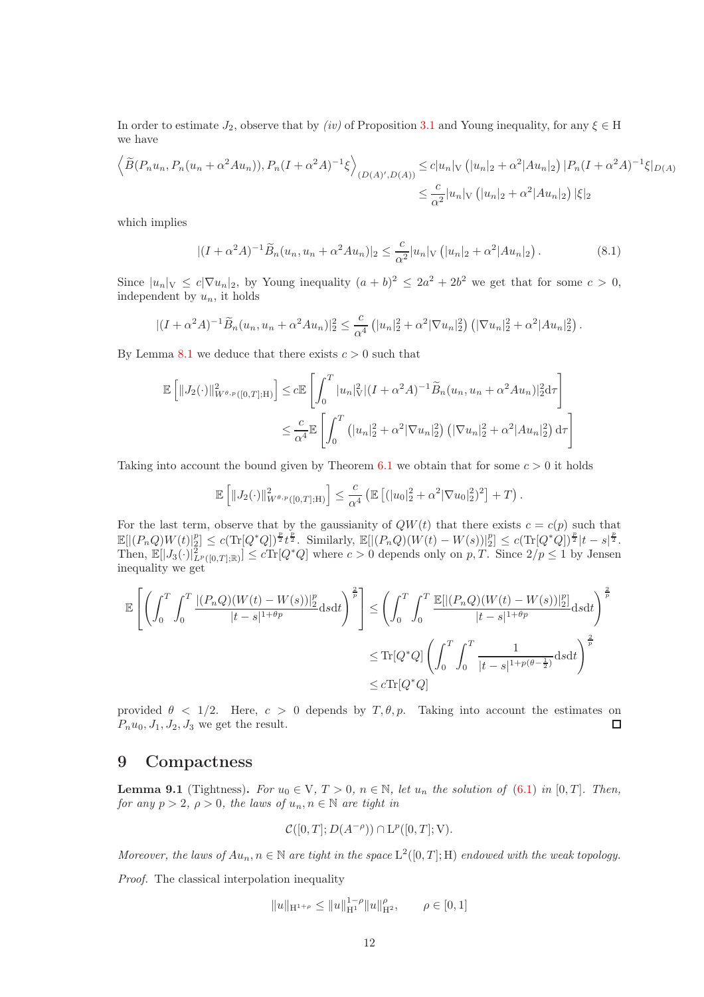In order to estimate  $J_2$ , observe that by *(iv)* of Proposition [3.1](#page-5-1) and Young inequality, for any  $\xi \in H$ we have

$$
\left\langle \widetilde{B}(P_n u_n, P_n(u_n + \alpha^2 A u_n)), P_n (I + \alpha^2 A)^{-1} \xi \right\rangle_{(D(A)',D(A))} \le c |u_n|_V \left( |u_n|_2 + \alpha^2 |A u_n|_2 \right) |P_n (I + \alpha^2 A)^{-1} \xi|_{D(A)}
$$
  

$$
\le \frac{c}{\alpha^2} |u_n|_V \left( |u_n|_2 + \alpha^2 |A u_n|_2 \right) |\xi|_2
$$

which implies

$$
|(I + \alpha^2 A)^{-1} \widetilde{B}_n(u_n, u_n + \alpha^2 A u_n)|_2 \le \frac{c}{\alpha^2} |u_n|_V (|u_n|_2 + \alpha^2 |Au_n|_2).
$$
 (8.1)

Since  $|u_n|_V \le c|\nabla u_n|_2$ , by Young inequality  $(a+b)^2 \le 2a^2 + 2b^2$  we get that for some  $c > 0$ , independent by  $u_n$ , it holds

$$
|(I+\alpha^2 A)^{-1}\widetilde{B}_n(u_n, u_n+\alpha^2 Au_n)|_2^2 \leq \frac{c}{\alpha^4} \left( |u_n|_2^2 + \alpha^2 |\nabla u_n|_2^2 \right) \left( |\nabla u_n|_2^2 + \alpha^2 |Au_n|_2^2 \right).
$$

By Lemma [8.1](#page-10-2) we deduce that there exists  $c > 0$  such that

$$
\mathbb{E}\left[\|J_2(\cdot)\|_{W^{\theta,p}([0,T];\mathcal{H})}^2\right] \leq c \mathbb{E}\left[\int_0^T |u_n|_V^2 |(I+\alpha^2 A)^{-1} \widetilde{B}_n(u_n, u_n + \alpha^2 Au_n)|_2^2 d\tau\right]
$$
  

$$
\leq \frac{c}{\alpha^4} \mathbb{E}\left[\int_0^T \left(|u_n|_2^2 + \alpha^2 |\nabla u_n|_2^2\right) \left(|\nabla u_n|_2^2 + \alpha^2 |Au_n|_2^2\right) d\tau\right]
$$

Taking into account the bound given by Theorem [6.1](#page-7-2) we obtain that for some  $c > 0$  it holds

$$
\mathbb{E}\left[\|J_2(\cdot)\|_{W^{\theta,p}([0,T];\mathcal{H})}^2\right] \leq \frac{c}{\alpha^4} \left(\mathbb{E}\left[ (|u_0|_2^2 + \alpha^2 |\nabla u_0|_2^2)^2 \right] + T\right).
$$

For the last term, observe that by the gaussianity of  $QW(t)$  that there exists  $c = c(p)$  such that  $\mathbb{E}[|(P_nQ)W(t)|_2^p] \le c(\text{Tr}[Q^*Q])^{\frac{p}{2}}t^{\frac{p}{2}}.$  Similarly,  $\mathbb{E}[|(P_nQ)(W(t) - W(s))|_2^p] \le c(\text{Tr}[Q^*Q])^{\frac{p}{2}}|t-s|^{\frac{p}{2}}.$ Then,  $\mathbb{E}[|J_3(\cdot)|_{L^p([0,T];\mathbb{R})}^2] \leq c \text{Tr}[Q^*Q]$  where  $c > 0$  depends only on  $p, T$ . Since  $2/p \leq 1$  by Jensen inequality we get

$$
\mathbb{E}\left[\left(\int_0^T \int_0^T \frac{|(P_nQ)(W(t)-W(s))|_2^p}{|t-s|^{1+\theta p}} ds dt\right)^{\frac{2}{p}}\right] \leq \left(\int_0^T \int_0^T \frac{\mathbb{E}[|(P_nQ)(W(t)-W(s))|_2^p]}{|t-s|^{1+\theta p}} ds dt\right)^{\frac{2}{p}}
$$

$$
\leq \text{Tr}[Q^*Q] \left(\int_0^T \int_0^T \frac{1}{|t-s|^{1+p(\theta-\frac{1}{2})}} ds dt\right)^{\frac{2}{p}}
$$

$$
\leq c \text{Tr}[Q^*Q]
$$

provided  $\theta < 1/2$ . Here,  $c > 0$  depends by  $T, \theta, p$ . Taking into account the estimates on  $P_nu_0, J_1, J_2, J_3$  we get the result.  $\Box$ 

## <span id="page-11-0"></span>9 Compactness

<span id="page-11-1"></span>**Lemma 9.1** (Tightness). For  $u_0 \in V$ ,  $T > 0$ ,  $n \in \mathbb{N}$ , let  $u_n$  the solution of [\(6.1\)](#page-7-1) in [0, T]. Then, for any  $p > 2$ ,  $\rho > 0$ , the laws of  $u_n, n \in \mathbb{N}$  are tight in

$$
\mathcal{C}([0,T];D(A^{-\rho}))\cap \mathrm{L}^p([0,T];\mathcal{V}).
$$

Moreover, the laws of  $Au_n, n \in \mathbb{N}$  are tight in the space  $L^2([0,T];H)$  endowed with the weak topology. Proof. The classical interpolation inequality

$$
||u||_{\mathcal{H}^{1+\rho}} \le ||u||_{\mathcal{H}^{1}}^{1-\rho} ||u||_{\mathcal{H}^{2}}^{\rho}, \qquad \rho \in [0,1]
$$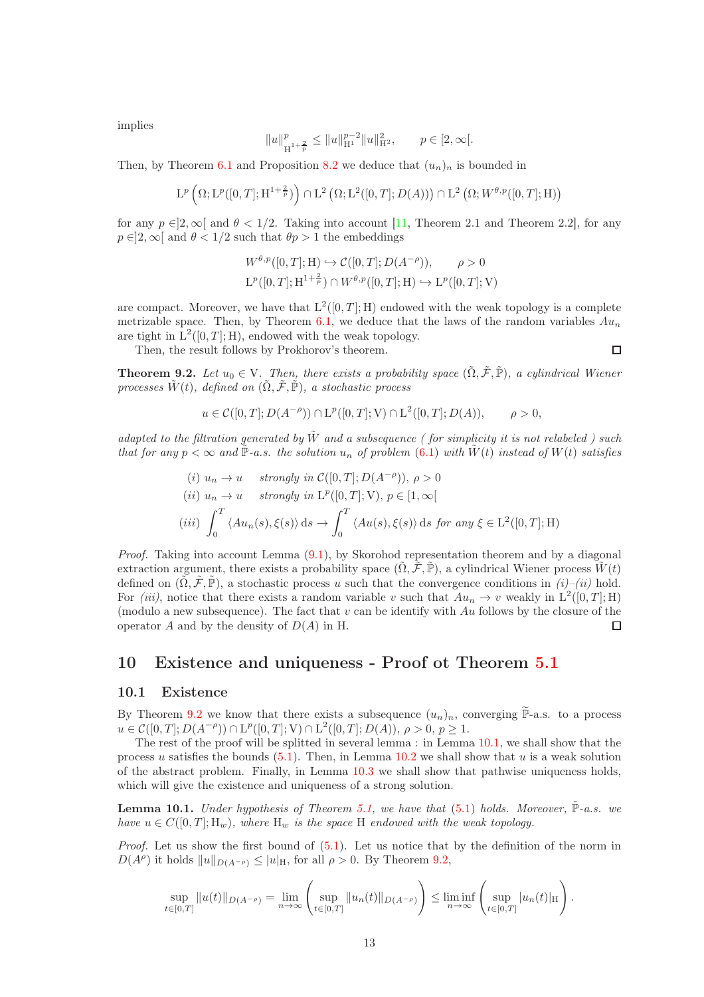implies

$$
||u||^p_{\mathcal{H}^{1+\frac{2}{p}}}\leq ||u||^{p-2}_{\mathcal{H}^1}||u||^2_{\mathcal{H}^2},\qquad p\in [2,\infty[.
$$

Then, by Theorem [6.1](#page-7-2) and Proposition [8.2](#page-10-1) we deduce that  $(u_n)_n$  is bounded in

$$
\mathrm{L}^{p}\left(\Omega;\mathrm{L}^{p}([0,T];\mathrm{H}^{1+\frac{2}{p}})\right)\cap\mathrm{L}^{2}\left(\Omega;\mathrm{L}^{2}([0,T];D(A))\right)\cap\mathrm{L}^{2}\left(\Omega;W^{\theta,p}([0,T];\mathrm{H})\right)
$$

for any  $p \in ]2, \infty[$  and  $\theta < 1/2$ . Taking into account [\[11,](#page-22-8) Theorem 2.1 and Theorem 2.2], for any  $p \in ]2, \infty[$  and  $\theta < 1/2$  such that  $\theta p > 1$  the embeddings

$$
W^{\theta,p}([0,T];\mathcal{H}) \hookrightarrow C([0,T];D(A^{-\rho})), \qquad \rho > 0
$$
  

$$
L^{p}([0,T];\mathcal{H}^{1+\frac{2}{p}}) \cap W^{\theta,p}([0,T];\mathcal{H}) \hookrightarrow L^{p}([0,T];\mathcal{V})
$$

are compact. Moreover, we have that  $L^2([0,T];H)$  endowed with the weak topology is a complete metrizable space. Then, by Theorem [6.1,](#page-7-2) we deduce that the laws of the random variables  $Au_n$ are tight in  $L^2([0,T];H)$ , endowed with the weak topology.

 $\Box$ 

Then, the result follows by Prokhorov's theorem.

<span id="page-12-1"></span>**Theorem 9.2.** Let  $u_0 \in V$ . Then, there exists a probability space  $(\tilde{\Omega}, \tilde{\mathcal{F}}, \tilde{\mathbb{P}})$ , a cylindrical Wiener processes  $\tilde{W}(t)$ , defined on  $(\tilde{\Omega}, \tilde{\mathcal{F}}, \tilde{\mathbb{P}})$ , a stochastic process

$$
u \in C([0,T]; D(A^{-\rho})) \cap L^p([0,T]; V) \cap L^2([0,T]; D(A)), \qquad \rho > 0,
$$

adapted to the filtration generated by  $\tilde{W}$  and a subsequence (for simplicity it is not relabeled) such that for any  $p < \infty$  and  $\tilde{P}$ -a.s. the solution  $u_n$  of problem [\(6.1\)](#page-7-1) with  $\tilde{W}(t)$  instead of  $W(t)$  satisfies

(i) 
$$
u_n \to u
$$
 strongly in  $C([0, T]; D(A^{-\rho})), \rho > 0$   
\n(ii)  $u_n \to u$  strongly in  $L^p([0, T]; V), p \in [1, \infty[$   
\n(iii)  $\int_0^T \langle Au_n(s), \xi(s) \rangle ds \to \int_0^T \langle Au(s), \xi(s) \rangle ds$  for any  $\xi \in L^2([0, T]; H)$ 

Proof. Taking into account Lemma [\(9.1\)](#page-11-1), by Skorohod representation theorem and by a diagonal extraction argument, there exists a probability space  $(\tilde{\Omega}, \tilde{\mathcal{F}}, \tilde{\mathbb{P}})$ , a cylindrical Wiener process  $\tilde{W}(t)$ defined on  $(\tilde{\Omega}, \tilde{\mathcal{F}}, \tilde{\mathbb{P}})$ , a stochastic process u such that the convergence conditions in  $(i)$ – $(ii)$  hold. For *(iii)*, notice that there exists a random variable v such that  $Au_n \to v$  weakly in  $L^2([0,T];H)$ (modulo a new subsequence). The fact that  $v$  can be identify with Au follows by the closure of the operator  $A$  and by the density of  $D(A)$  in H.  $\Box$ 

## <span id="page-12-0"></span>10 Existence and uniqueness - Proof ot Theorem [5.1](#page-6-3)

#### 10.1 Existence

By Theorem [9.2](#page-12-1) we know that there exists a subsequence  $(u_n)_n$ , converging  $\widetilde{\mathbb{P}}$ -a.s. to a process  $u \in \mathcal{C}([0,T];D(A^{-\rho})) \cap \mathrm{L}^p([0,T];\mathrm{ V}) \cap \mathrm{L}^2([0,T];D(A)),\, \rho>0,\, p\geq 1.$ 

The rest of the proof will be splitted in several lemma : in Lemma [10.1,](#page-12-2) we shall show that the process u satisfies the bounds  $(5.1)$ . Then, in Lemma [10.2](#page-13-0) we shall show that u is a weak solution of the abstract problem. Finally, in Lemma [10.3](#page-15-0) we shall show that pathwise uniqueness holds, which will give the existence and uniqueness of a strong solution.

<span id="page-12-2"></span>**Lemma 10.1.** Under hypothesis of Theorem [5.1,](#page-6-3) we have that  $(5.1)$  holds. Moreover,  $\tilde{\mathbb{P}}$ -a.s. we have  $u \in C([0,T]; H_w)$ , where  $H_w$  is the space H endowed with the weak topology.

Proof. Let us show the first bound of  $(5.1)$ . Let us notice that by the definition of the norm in  $D(A^{\rho})$  it holds  $||u||_{D(A^{-\rho})} \leq |u|_{\mathcal{H}}$ , for all  $\rho > 0$ . By Theorem [9.2,](#page-12-1)

$$
\sup_{t\in[0,T]}\|u(t)\|_{D(A^{-\rho})}=\lim_{n\to\infty}\left(\sup_{t\in[0,T]}\|u_n(t)\|_{D(A^{-\rho})}\right)\leq \liminf_{n\to\infty}\left(\sup_{t\in[0,T]}|u_n(t)|_H\right).
$$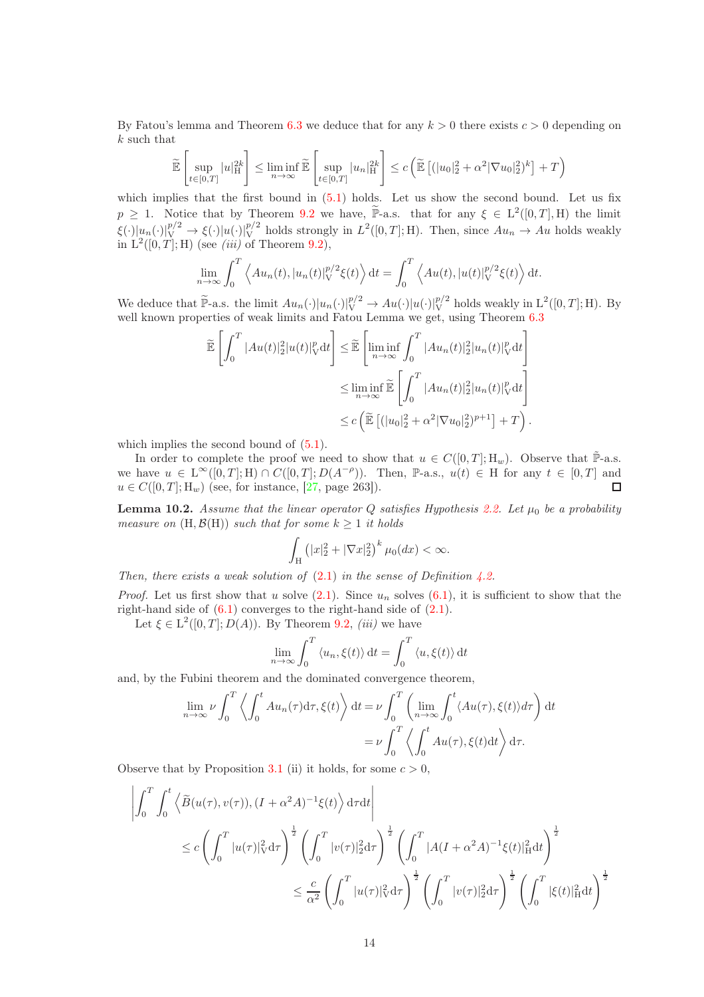By Fatou's lemma and Theorem [6.3](#page-8-1) we deduce that for any  $k > 0$  there exists  $c > 0$  depending on k such that

$$
\widetilde{\mathbb{E}}\left[\sup_{t\in[0,T]}|u|_{\mathcal{H}}^{2k}\right] \leq \liminf_{n\to\infty}\widetilde{\mathbb{E}}\left[\sup_{t\in[0,T]}|u_n|_{\mathcal{H}}^{2k}\right] \leq c\left(\widetilde{\mathbb{E}}\left[ (|u_0|_2^2 + \alpha^2|\nabla u_0|_2^2)^k \right] + T\right)
$$

which implies that the first bound in  $(5.1)$  holds. Let us show the second bound. Let us fix  $p \geq 1$ . Notice that by Theorem [9.2](#page-12-1) we have,  $\widetilde{\mathbb{P}}$ -a.s. that for any  $\xi \in L^2([0,T],H)$  the limit  $\xi(\cdot)|u_n(\cdot)|_V^{p/2} \to \xi(\cdot)|u(\cdot)|_V^{p/2}$  holds strongly in  $L^2([0,T];H)$ . Then, since  $Au_n \to Au$  holds weakly in  $L^2([0,T];H)$  (see *(iii)* of Theorem [9.2\)](#page-12-1),

$$
\lim_{n \to \infty} \int_0^T \left\langle Au_n(t), |u_n(t)|_V^{p/2} \xi(t) \right\rangle dt = \int_0^T \left\langle Au(t), |u(t)|_V^{p/2} \xi(t) \right\rangle dt.
$$

We deduce that  $\widetilde{\mathbb{P}}$ -a.s. the limit  $Au_n(\cdot)|u_n(\cdot)|_V^{p/2} \to Au(\cdot)|u(\cdot)|_V^{p/2}$  holds weakly in  $L^2([0,T];H)$ . By well known properties of weak limits and Fatou Lemma we get, using Theorem  $6.3$ 

$$
\widetilde{\mathbb{E}}\left[\int_0^T |Au(t)|_2^2 |u(t)|_V^p dt\right] \leq \widetilde{\mathbb{E}}\left[\liminf_{n\to\infty} \int_0^T |Au_n(t)|_2^2 |u_n(t)|_V^p dt\right]
$$
\n
$$
\leq \liminf_{n\to\infty} \widetilde{\mathbb{E}}\left[\int_0^T |Au_n(t)|_2^2 |u_n(t)|_V^p dt\right]
$$
\n
$$
\leq c \left(\widetilde{\mathbb{E}}\left[ (|u_0|_2^2 + \alpha^2 |\nabla u_0|_2^2)^{p+1} \right] + T\right).
$$

which implies the second bound of  $(5.1)$ .

In order to complete the proof we need to show that  $u \in C([0,T];H_w)$ . Observe that  $\tilde{\mathbb{P}}$ -a.s. we have  $u \in L^{\infty}([0,T];H) \cap C([0,T];D(A^{-\rho})).$  Then, P-a.s.,  $u(t) \in H$  for any  $t \in [0,T]$  and  $u \in C([0, T]; H_w)$  (see, for instance, [\[27,](#page-23-0) page 263]).

<span id="page-13-0"></span>**Lemma 10.2.** Assume that the linear operator Q satisfies Hypothesis [2.2.](#page-3-0) Let  $\mu_0$  be a probability measure on  $(H, \mathcal{B}(H))$  such that for some  $k \geq 1$  it holds

$$
\int_{\mathcal{H}} \left( |x|_2^2 + |\nabla x|_2^2 \right)^k \mu_0(dx) < \infty.
$$

Then, there exists a weak solution of  $(2.1)$  in the sense of Definition [4.2.](#page-6-5)

*Proof.* Let us first show that u solve  $(2.1)$ . Since  $u_n$  solves  $(6.1)$ , it is sufficient to show that the right-hand side of  $(6.1)$  converges to the right-hand side of  $(2.1)$ .

Let  $\xi \in L^2([0,T]; D(A))$ . By Theorem [9.2,](#page-12-1) *(iii)* we have

$$
\lim_{n \to \infty} \int_0^T \langle u_n, \xi(t) \rangle dt = \int_0^T \langle u, \xi(t) \rangle dt
$$

and, by the Fubini theorem and the dominated convergence theorem,

$$
\lim_{n \to \infty} \nu \int_0^T \left\langle \int_0^t Au_n(\tau) d\tau, \xi(t) \right\rangle dt = \nu \int_0^T \left( \lim_{n \to \infty} \int_0^t \langle Au(\tau), \xi(t) \rangle d\tau \right) dt
$$

$$
= \nu \int_0^T \left\langle \int_0^t Au(\tau), \xi(t) dt \right\rangle d\tau.
$$

Observe that by Proposition [3.1](#page-5-1) (ii) it holds, for some  $c > 0$ ,

$$
\left| \int_0^T \int_0^t \left\langle \tilde{B}(u(\tau), v(\tau)), (I + \alpha^2 A)^{-1} \xi(t) \right\rangle d\tau dt \right|
$$
  
\n
$$
\leq c \left( \int_0^T |u(\tau)|_V^2 d\tau \right)^{\frac{1}{2}} \left( \int_0^T |v(\tau)|_2^2 d\tau \right)^{\frac{1}{2}} \left( \int_0^T |A(I + \alpha^2 A)^{-1} \xi(t)|_H^2 dt \right)^{\frac{1}{2}}
$$
  
\n
$$
\leq \frac{c}{\alpha^2} \left( \int_0^T |u(\tau)|_V^2 d\tau \right)^{\frac{1}{2}} \left( \int_0^T |v(\tau)|_2^2 d\tau \right)^{\frac{1}{2}} \left( \int_0^T |\xi(t)|_H^2 dt \right)^{\frac{1}{2}}
$$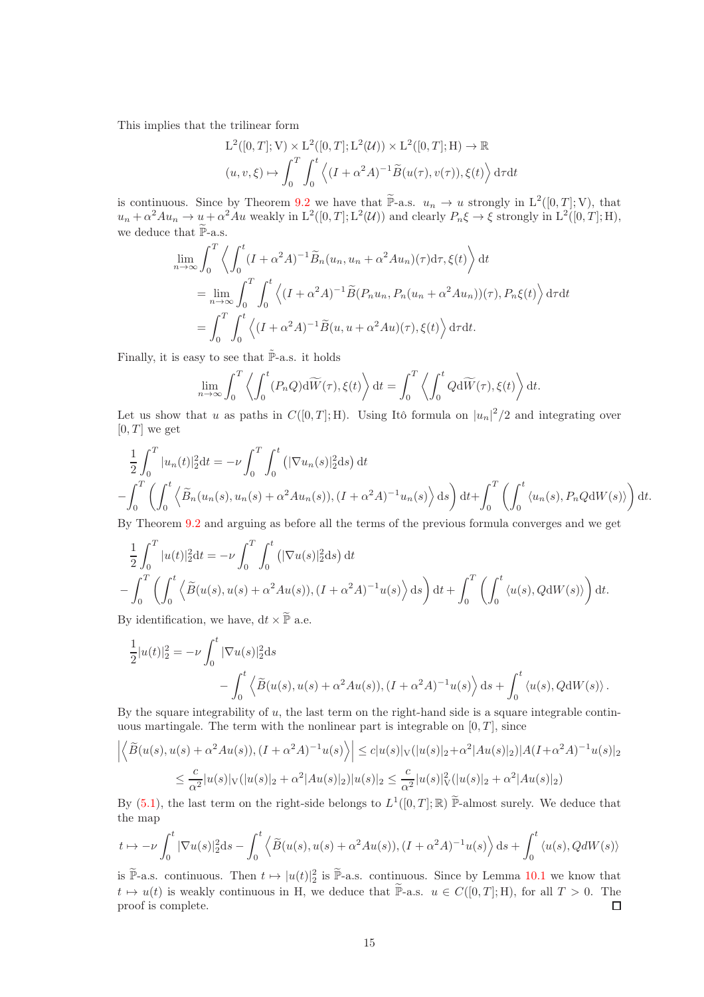This implies that the trilinear form

$$
L^2([0,T];V) \times L^2([0,T];L^2(\mathcal{U})) \times L^2([0,T];H) \to \mathbb{R}
$$
  

$$
(u,v,\xi) \mapsto \int_0^T \int_0^t \left\langle (I + \alpha^2 A)^{-1} \widetilde{B}(u(\tau), v(\tau)), \xi(t) \right\rangle d\tau dt
$$

is continuous. Since by Theorem [9.2](#page-12-1) we have that  $\widetilde{P}$ -a.s.  $u_n \to u$  strongly in  $L^2([0,T];V)$ , that  $u_n + \alpha^2 A u_n \to \underline{u} + \alpha^2 A u$  weakly in  $L^2([0,T]; L^2(\mathcal{U}))$  and clearly  $P_n \xi \to \xi$  strongly in  $L^2([0,T]; H)$ , we deduce that  $\widetilde{\mathbb{P}}\text{-a.s.}$ 

$$
\lim_{n \to \infty} \int_0^T \left\langle \int_0^t (I + \alpha^2 A)^{-1} \tilde{B}_n(u_n, u_n + \alpha^2 A u_n)(\tau) d\tau, \xi(t) \right\rangle dt
$$
\n
$$
= \lim_{n \to \infty} \int_0^T \int_0^t \left\langle (I + \alpha^2 A)^{-1} \tilde{B}(P_n u_n, P_n(u_n + \alpha^2 A u_n))(\tau), P_n \xi(t) \right\rangle d\tau dt
$$
\n
$$
= \int_0^T \int_0^t \left\langle (I + \alpha^2 A)^{-1} \tilde{B}(u, u + \alpha^2 A u)(\tau), \xi(t) \right\rangle d\tau dt.
$$

Finally, it is easy to see that  $\mathbb{P}\text{-a.s.}$  it holds

$$
\lim_{n \to \infty} \int_0^T \left\langle \int_0^t (P_n Q) \mathrm{d}\widetilde{W}(\tau), \xi(t) \right\rangle dt = \int_0^T \left\langle \int_0^t Q \mathrm{d}\widetilde{W}(\tau), \xi(t) \right\rangle dt.
$$

Let us show that u as paths in  $C([0,T];H)$ . Using Itô formula on  $|u_n|^2/2$  and integrating over  $[0, T]$  we get

$$
\frac{1}{2} \int_0^T |u_n(t)|_2^2 dt = -\nu \int_0^T \int_0^t (|\nabla u_n(s)|_2^2 ds) dt
$$
  

$$
-\int_0^T \left( \int_0^t \left\langle \tilde{B}_n(u_n(s), u_n(s) + \alpha^2 A u_n(s)), (I + \alpha^2 A)^{-1} u_n(s) \right\rangle ds \right) dt + \int_0^T \left( \int_0^t \langle u_n(s), P_n Q dW(s) \rangle \right) dt.
$$

By Theorem [9.2](#page-12-1) and arguing as before all the terms of the previous formula converges and we get

$$
\frac{1}{2} \int_0^T |u(t)|_2^2 dt = -\nu \int_0^T \int_0^t (|\nabla u(s)|_2^2 ds) dt
$$
  

$$
- \int_0^T \left( \int_0^t \left\langle \tilde{B}(u(s), u(s) + \alpha^2 A u(s)), (I + \alpha^2 A)^{-1} u(s) \right\rangle ds \right) dt + \int_0^T \left( \int_0^t \left\langle u(s), Q dW(s) \right\rangle \right) dt.
$$

By identification, we have,  $dt \times \mathbb{P}$  a.e.

$$
\frac{1}{2}|u(t)|_2^2 = -\nu \int_0^t |\nabla u(s)|_2^2 ds
$$
  
 
$$
- \int_0^t \left\langle \widetilde{B}(u(s), u(s) + \alpha^2 Au(s)), (I + \alpha^2 A)^{-1} u(s) \right\rangle ds + \int_0^t \left\langle u(s), Q dW(s) \right\rangle.
$$

By the square integrability of  $u$ , the last term on the right-hand side is a square integrable continuous martingale. The term with the nonlinear part is integrable on  $[0, T]$ , since

$$
\left| \left\langle \tilde{B}(u(s), u(s) + \alpha^2 Au(s)), (I + \alpha^2 A)^{-1} u(s) \right\rangle \right| \leq c |u(s)|_V (|u(s)|_2 + \alpha^2 |Au(s)|_2) |A(I + \alpha^2 A)^{-1} u(s)|_2
$$
  

$$
\leq \frac{c}{\alpha^2} |u(s)|_V (|u(s)|_2 + \alpha^2 |Au(s)|_2) |u(s)|_2 \leq \frac{c}{\alpha^2} |u(s)|_V^2 (|u(s)|_2 + \alpha^2 |Au(s)|_2)
$$

By [\(5.1\)](#page-6-4), the last term on the right-side belongs to  $L^1([0,T];\mathbb{R})$   $\widetilde{\mathbb{P}}$ -almost surely. We deduce that the map

$$
t\mapsto -\nu\int_0^t|\nabla u(s)|_2^2\mathrm{d}s - \int_0^t\left\langle\widetilde{B}(u(s),u(s)+\alpha^2Au(s)),(I+\alpha^2A)^{-1}u(s)\right\rangle\mathrm{d}s + \int_0^t\left\langle u(s),QdW(s)\right\rangle
$$

is  $\widetilde{\mathbb{P}}$ -a.s. continuous. Then  $t \mapsto |u(t)|_2^2$  is  $\widetilde{\mathbb{P}}$ -a.s. continuous. Since by Lemma [10.1](#page-12-2) we know that  $t \mapsto u(t)$  is weakly continuous in H, we deduce that  $\widetilde{P}$ -a.s.  $u \in C([0, T]; H)$ , for all  $T > 0$ . The proof is complete. proof is complete.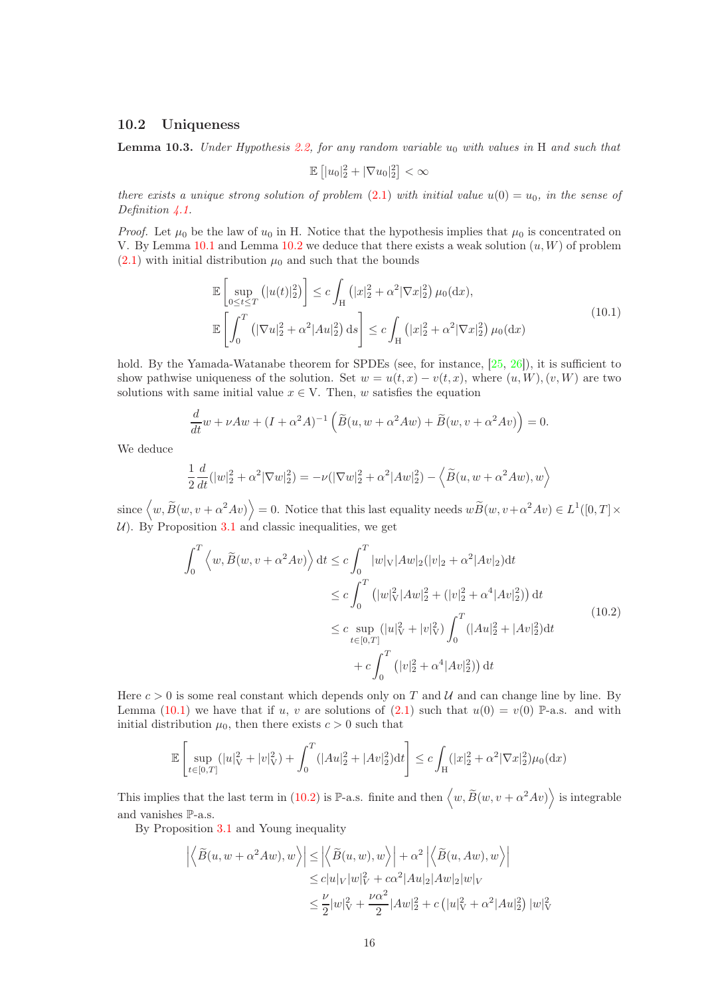#### 10.2 Uniqueness

<span id="page-15-0"></span>**Lemma 10.3.** Under Hypothesis [2.2,](#page-3-0) for any random variable  $u_0$  with values in H and such that

$$
\mathbb{E}\left[|u_0|_2^2+|\nabla u_0|_2^2\right]<\infty
$$

there exists a unique strong solution of problem [\(2.1\)](#page-3-1) with initial value  $u(0) = u_0$ , in the sense of Definition  $\angle 4.1$ .

*Proof.* Let  $\mu_0$  be the law of  $u_0$  in H. Notice that the hypothesis implies that  $\mu_0$  is concentrated on V. By Lemma [10.1](#page-12-2) and Lemma [10.2](#page-13-0) we deduce that there exists a weak solution  $(u, W)$  of problem  $(2.1)$  with initial distribution  $\mu_0$  and such that the bounds

$$
\mathbb{E}\left[\sup_{0\leq t\leq T}\left(|u(t)|_2^2\right)\right] \leq c \int_H \left(|x|_2^2 + \alpha^2 |\nabla x|_2^2\right) \mu_0(\mathrm{d}x),
$$
\n
$$
\mathbb{E}\left[\int_0^T \left(|\nabla u|_2^2 + \alpha^2 |Au|_2^2\right) \mathrm{d}s\right] \leq c \int_H \left(|x|_2^2 + \alpha^2 |\nabla x|_2^2\right) \mu_0(\mathrm{d}x)
$$
\n(10.1)

<span id="page-15-1"></span>hold. By the Yamada-Watanabe theorem for SPDEs (see, for instance, [\[25,](#page-23-1) [26\]](#page-23-2)), it is sufficient to show pathwise uniqueness of the solution. Set  $w = u(t, x) - v(t, x)$ , where  $(u, W)$ ,  $(v, W)$  are two solutions with same initial value  $x \in V$ . Then, w satisfies the equation

$$
\frac{d}{dt}w + \nu Aw + (I + \alpha^2 A)^{-1} \left( \widetilde{B}(u, w + \alpha^2 Aw) + \widetilde{B}(w, v + \alpha^2 Av) \right) = 0.
$$

We deduce

$$
\frac{1}{2}\frac{d}{dt}(|w|_2^2 + \alpha^2 |\nabla w|_2^2) = -\nu(|\nabla w|_2^2 + \alpha^2 |Aw|_2^2) - \langle \widetilde{B}(u, w + \alpha^2 Aw), w \rangle
$$

since  $\langle w, \widetilde{B}(w, v + \alpha^2 Av) \rangle = 0$ . Notice that this last equality needs  $w\widetilde{B}(w, v + \alpha^2 Av) \in L^1([0, T] \times$ U). By Proposition [3.1](#page-5-1) and classic inequalities, we get

$$
\int_{0}^{T} \left\langle w, \widetilde{B}(w, v + \alpha^{2}Av) \right\rangle dt \leq c \int_{0}^{T} |w|_{V} |Aw|_{2} (|v|_{2} + \alpha^{2} |Av|_{2}) dt
$$
  
\n
$$
\leq c \int_{0}^{T} (|w|_{V}^{2} |Aw|_{2}^{2} + (|v|_{2}^{2} + \alpha^{4} |Av|_{2}^{2})) dt
$$
  
\n
$$
\leq c \sup_{t \in [0,T]} (|u|_{V}^{2} + |v|_{V}^{2}) \int_{0}^{T} (|Au|_{2}^{2} + |Av|_{2}^{2}) dt
$$
  
\n
$$
+ c \int_{0}^{T} (|v|_{2}^{2} + \alpha^{4} |Av|_{2}^{2}) dt
$$
\n(10.2)

<span id="page-15-2"></span>Here  $c > 0$  is some real constant which depends only on T and U and can change line by line. By Lemma [\(10.1\)](#page-15-1) we have that if u, v are solutions of [\(2.1\)](#page-3-1) such that  $u(0) = v(0)$  P-a.s. and with initial distribution  $\mu_0$ , then there exists  $c > 0$  such that

$$
\mathbb{E}\left[\sup_{t\in[0,T]}(|u|_V^2+|v|_V^2)+\int_0^T(|Au|_2^2+|Av|_2^2)\mathrm{d}t\right]\leq c\int_{\mathcal{H}}(|x|_2^2+\alpha^2|\nabla x|_2^2)\mu_0(\mathrm{d}x)
$$

This implies that the last term in [\(10.2\)](#page-15-2) is  $\mathbb{P}\text{-a.s.}$  finite and then  $\langle w, \widetilde{B}(w, v + \alpha^2 Av) \rangle$  is integrable and vanishes P-a.s.

By Proposition [3.1](#page-5-1) and Young inequality

$$
\left| \left\langle \widetilde{B}(u, w + \alpha^2 A w), w \right\rangle \right| \le \left| \left\langle \widetilde{B}(u, w), w \right\rangle \right| + \alpha^2 \left| \left\langle \widetilde{B}(u, A w), w \right\rangle \right|
$$
  
\n
$$
\le c |u|_V |w|_V^2 + c \alpha^2 |Au|_2 |Aw|_2 |w|_V
$$
  
\n
$$
\le \frac{\nu}{2} |w|_V^2 + \frac{\nu \alpha^2}{2} |Aw|_2^2 + c (|u|_V^2 + \alpha^2 |Au|_2^2) |w|_V^2
$$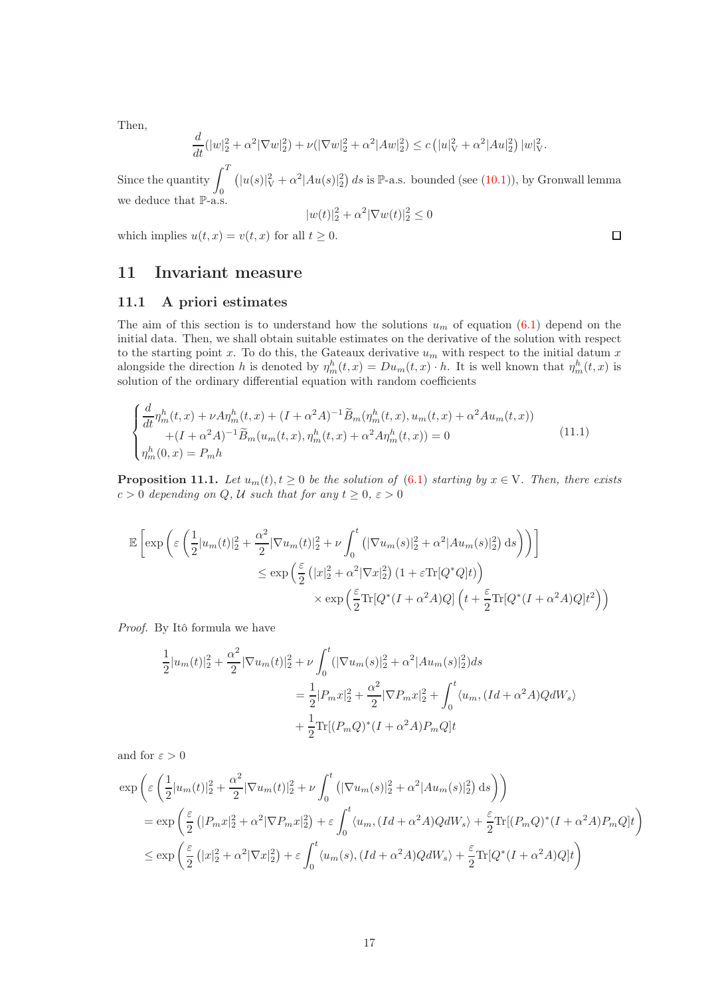Then,

$$
\frac{d}{dt}(|w|_2^2 + \alpha^2 |\nabla w|_2^2) + \nu(|\nabla w|_2^2 + \alpha^2 |Aw|_2^2) \le c (|u|_V^2 + \alpha^2 |Au|_2^2) |w|_V^2.
$$

Since the quantity  $\int_0^T$ 0  $(|u(s)|_V^2 + \alpha^2 |Au(s)|_2^2)$  ds is P-a.s. bounded (see [\(10.1\)](#page-15-1)), by Gronwall lemma we deduce that P-a.s.

$$
|w(t)|_2^2 + \alpha^2 |\nabla w(t)|_2^2 \le 0
$$

which implies  $u(t, x) = v(t, x)$  for all  $t \geq 0$ .

# <span id="page-16-0"></span>11 Invariant measure

#### 11.1 A priori estimates

The aim of this section is to understand how the solutions  $u_m$  of equation [\(6.1\)](#page-7-1) depend on the initial data. Then, we shall obtain suitable estimates on the derivative of the solution with respect to the starting point x. To do this, the Gateaux derivative  $u_m$  with respect to the initial datum x alongside the direction h is denoted by  $\eta_m^h(t,x) = Du_m(t,x) \cdot h$ . It is well known that  $\eta_m^h(t,x)$  is solution of the ordinary differential equation with random coefficients

$$
\begin{cases}\n\frac{d}{dt}\eta_m^h(t,x) + \nu A\eta_m^h(t,x) + (I + \alpha^2 A)^{-1} \tilde{B}_m(\eta_m^h(t,x), u_m(t,x) + \alpha^2 A u_m(t,x)) \\
+ (I + \alpha^2 A)^{-1} \tilde{B}_m(u_m(t,x), \eta_m^h(t,x) + \alpha^2 A \eta_m^h(t,x)) = 0 \\
\eta_m^h(0,x) = P_m h\n\end{cases}
$$
\n(11.1)

<span id="page-16-2"></span>**Proposition 11.1.** Let  $u_m(t)$ ,  $t \geq 0$  be the solution of [\(6.1\)](#page-7-1) starting by  $x \in V$ . Then, there exists  $c > 0$  depending on Q, U such that for any  $t \geq 0$ ,  $\varepsilon > 0$ 

$$
\mathbb{E}\left[\exp\left(\varepsilon\left(\frac{1}{2}|u_m(t)|_2^2 + \frac{\alpha^2}{2}|\nabla u_m(t)|_2^2 + \nu\int_0^t \left(|\nabla u_m(s)|_2^2 + \alpha^2|Au_m(s)|_2^2\right)ds\right)\right)\right]
$$
  

$$
\leq \exp\left(\frac{\varepsilon}{2}\left(|x|_2^2 + \alpha^2|\nabla x|_2^2\right)\left(1 + \varepsilon\text{Tr}[Q^*Q]t\right)\right)
$$
  

$$
\times \exp\left(\frac{\varepsilon}{2}\text{Tr}[Q^*(I + \alpha^2A)Q]\left(t + \frac{\varepsilon}{2}\text{Tr}[Q^*(I + \alpha^2A)Q]t^2\right)\right)
$$

Proof. By Itô formula we have

$$
\frac{1}{2}|u_m(t)|_2^2 + \frac{\alpha^2}{2} |\nabla u_m(t)|_2^2 + \nu \int_0^t (|\nabla u_m(s)|_2^2 + \alpha^2 |Au_m(s)|_2^2) ds
$$
  
\n
$$
= \frac{1}{2} |P_m x|_2^2 + \frac{\alpha^2}{2} |\nabla P_m x|_2^2 + \int_0^t \langle u_m, (Id + \alpha^2 A) Q dW_s \rangle
$$
  
\n
$$
+ \frac{1}{2} \text{Tr}[(P_m Q)^*(I + \alpha^2 A) P_m Q] t
$$

and for  $\varepsilon > 0$ 

$$
\exp\left(\varepsilon\left(\frac{1}{2}|u_m(t)|_2^2 + \frac{\alpha^2}{2}|\nabla u_m(t)|_2^2 + \nu\int_0^t \left(|\nabla u_m(s)|_2^2 + \alpha^2|Au_m(s)|_2^2\right)ds\right)\right)
$$
  
\n
$$
= \exp\left(\frac{\varepsilon}{2}\left(|P_mx|_2^2 + \alpha^2|\nabla P_mx|_2^2\right) + \varepsilon\int_0^t \langle u_m, (Id + \alpha^2A)QdW_s \rangle + \frac{\varepsilon}{2}\text{Tr}[(P_mQ)^*(I + \alpha^2A)P_mQ]t\right)
$$
  
\n
$$
\leq \exp\left(\frac{\varepsilon}{2}\left(|x|_2^2 + \alpha^2|\nabla x|_2^2\right) + \varepsilon\int_0^t \langle u_m(s), (Id + \alpha^2A)QdW_s \rangle + \frac{\varepsilon}{2}\text{Tr}[Q^*(I + \alpha^2A)Q]t\right)
$$

<span id="page-16-1"></span> $\Box$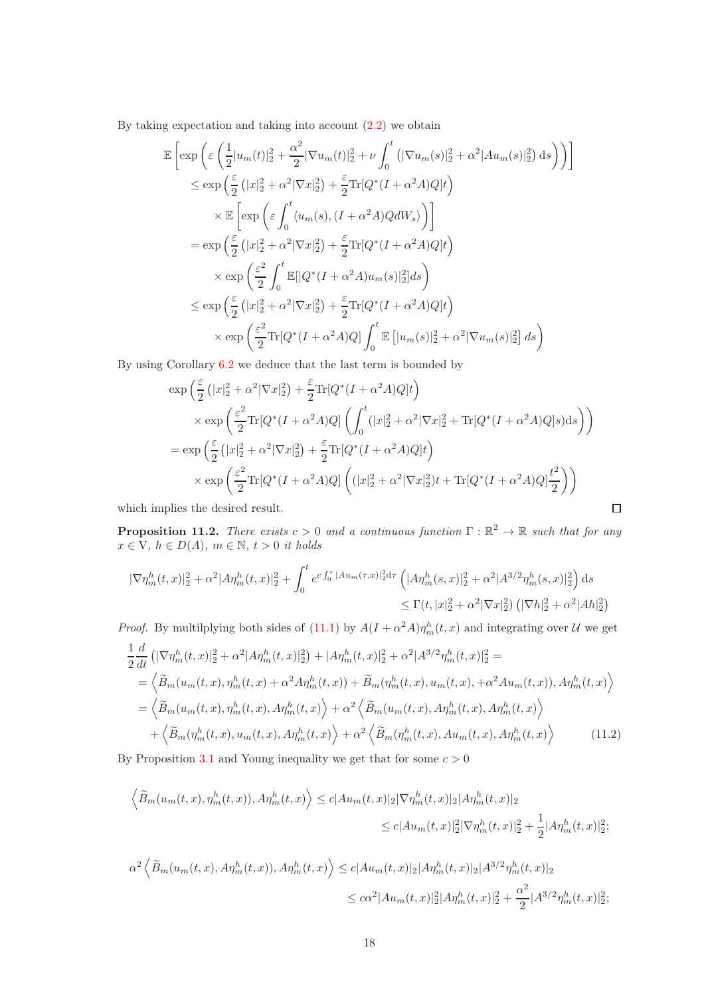By taking expectation and taking into account  $(2.2)$  we obtain

$$
\mathbb{E}\left[\exp\left(\varepsilon\left(\frac{1}{2}|u_m(t)|_2^2 + \frac{\alpha^2}{2}|\nabla u_m(t)|_2^2 + \nu\int_0^t\left(|\nabla u_m(s)|_2^2 + \alpha^2|Au_m(s)|_2^2\right)\mathrm{d}s\right)\right)\right]
$$
  
\n
$$
\leq \exp\left(\frac{\varepsilon}{2}\left(|x|_2^2 + \alpha^2|\nabla x|_2^2\right) + \frac{\varepsilon}{2}\mathrm{Tr}[Q^*(I + \alpha^2A)Q]t\right)
$$
  
\n
$$
\times \mathbb{E}\left[\exp\left(\varepsilon\int_0^t\langle u_m(s), (I + \alpha^2A)QdW_s\rangle\right)\right]
$$
  
\n
$$
= \exp\left(\frac{\varepsilon}{2}\left(|x|_2^2 + \alpha^2|\nabla x|_2^2\right) + \frac{\varepsilon}{2}\mathrm{Tr}[Q^*(I + \alpha^2A)Q]t\right)
$$
  
\n
$$
\times \exp\left(\frac{\varepsilon^2}{2}\int_0^t\mathbb{E}[|Q^*(I + \alpha^2A)u_m(s)|_2^2]ds\right)
$$
  
\n
$$
\leq \exp\left(\frac{\varepsilon}{2}\left(|x|_2^2 + \alpha^2|\nabla x|_2^2\right) + \frac{\varepsilon}{2}\mathrm{Tr}[Q^*(I + \alpha^2A)Q]t\right)
$$
  
\n
$$
\times \exp\left(\frac{\varepsilon^2}{2}\mathrm{Tr}[Q^*(I + \alpha^2A)Q]\int_0^t\mathbb{E}\left[|u_m(s)|_2^2 + \alpha^2|\nabla u_m(s)|_2^2\right]ds\right)
$$

By using Corollary [6.2](#page-8-2) we deduce that the last term is bounded by

$$
\exp\left(\frac{\varepsilon}{2}\left(|x|_2^2 + \alpha^2|\nabla x|_2^2\right) + \frac{\varepsilon}{2}\text{Tr}[Q^*(I + \alpha^2 A)Q]t\right)
$$
  
\n
$$
\times \exp\left(\frac{\varepsilon^2}{2}\text{Tr}[Q^*(I + \alpha^2 A)Q]\left(\int_0^t (|x|_2^2 + \alpha^2|\nabla x|_2^2 + \text{Tr}[Q^*(I + \alpha^2 A)Q]s)ds\right)\right)
$$
  
\n
$$
= \exp\left(\frac{\varepsilon}{2}\left(|x|_2^2 + \alpha^2|\nabla x|_2^2\right) + \frac{\varepsilon}{2}\text{Tr}[Q^*(I + \alpha^2 A)Q]t\right)
$$
  
\n
$$
\times \exp\left(\frac{\varepsilon^2}{2}\text{Tr}[Q^*(I + \alpha^2 A)Q]\left((|x|_2^2 + \alpha^2|\nabla x|_2^2)t + \text{Tr}[Q^*(I + \alpha^2 A)Q]\frac{t^2}{2}\right)\right)
$$

 $\Box$ 

which implies the desired result.

<span id="page-17-1"></span>**Proposition 11.2.** There exists  $c > 0$  and a continuous function  $\Gamma : \mathbb{R}^2 \to \mathbb{R}$  such that for any  $x \in V$ ,  $h \in D(A)$ ,  $m \in \mathbb{N}$ ,  $t > 0$  it holds

$$
\begin{aligned} |\nabla \eta_m^h(t,x)|_2^2 + \alpha^2 |A\eta_m^h(t,x)|_2^2 + \int_0^t e^{c\int_0^s |A u_m(\tau,x)|_2^2 d\tau} \left( |A\eta_m^h(s,x)|_2^2 + \alpha^2 |A^{3/2} \eta_m^h(s,x)|_2^2 \right) ds \\ &\leq \Gamma(t, |x|_2^2 + \alpha^2 |\nabla x|_2^2) \left( |\nabla h|_2^2 + \alpha^2 |A h|_2^2 \right) \end{aligned}
$$

*Proof.* By multilplying both sides of [\(11.1\)](#page-16-1) by  $A(I + \alpha^2 A)\eta_m^h(t, x)$  and integrating over U we get

<span id="page-17-0"></span>
$$
\frac{1}{2}\frac{d}{dt}\left(|\nabla\eta_{m}^{h}(t,x)|_{2}^{2}+\alpha^{2}|A\eta_{m}^{h}(t,x)|_{2}^{2}\right)+|A\eta_{m}^{h}(t,x)|_{2}^{2}+\alpha^{2}|A^{3/2}\eta_{m}^{h}(t,x)|_{2}^{2}=\n\n=\left\langle\widetilde{B}_{m}(u_{m}(t,x),\eta_{m}^{h}(t,x)+\alpha^{2}A\eta_{m}^{h}(t,x))+\widetilde{B}_{m}(\eta_{m}^{h}(t,x),u_{m}(t,x),+\alpha^{2}A u_{m}(t,x)),A\eta_{m}^{h}(t,x)\right\rangle\n\n=\left\langle\widetilde{B}_{m}(u_{m}(t,x),\eta_{m}^{h}(t,x),A\eta_{m}^{h}(t,x)\right\rangle+\alpha^{2}\left\langle\widetilde{B}_{m}(u_{m}(t,x),A\eta_{m}^{h}(t,x),A\eta_{m}^{h}(t,x)\right\rangle\n\n+\left\langle\widetilde{B}_{m}(\eta_{m}^{h}(t,x),u_{m}(t,x),A\eta_{m}^{h}(t,x)\right\rangle+\alpha^{2}\left\langle\widetilde{B}_{m}(\eta_{m}^{h}(t,x),A u_{m}(t,x),A\eta_{m}^{h}(t,x)\right\rangle
$$
\n(11.2)

By Proposition [3.1](#page-5-1) and Young inequality we get that for some  $c > 0$ 

$$
\left\langle \widetilde{B}_{m}(u_{m}(t,x),\eta_{m}^{h}(t,x)),A\eta_{m}^{h}(t,x)\right\rangle \leq c|Au_{m}(t,x)|_{2}|\nabla\eta_{m}^{h}(t,x)|_{2}|A\eta_{m}^{h}(t,x)|_{2}
$$
  

$$
\leq c|Au_{m}(t,x)|_{2}^{2}|\nabla\eta_{m}^{h}(t,x)|_{2}^{2}+\frac{1}{2}|A\eta_{m}^{h}(t,x)|_{2}^{2};
$$

$$
\alpha^2 \left\langle \widetilde{B}_m(u_m(t,x), A\eta_m^h(t,x)), A\eta_m^h(t,x) \right\rangle \leq c |Au_m(t,x)|_2 |A\eta_m^h(t,x)|_2 |A^{3/2}\eta_m^h(t,x)|_2
$$
  

$$
\leq c\alpha^2 |Au_m(t,x)|_2^2 |A\eta_m^h(t,x)|_2^2 + \frac{\alpha^2}{2} |A^{3/2}\eta_m^h(t,x)|_2^2;
$$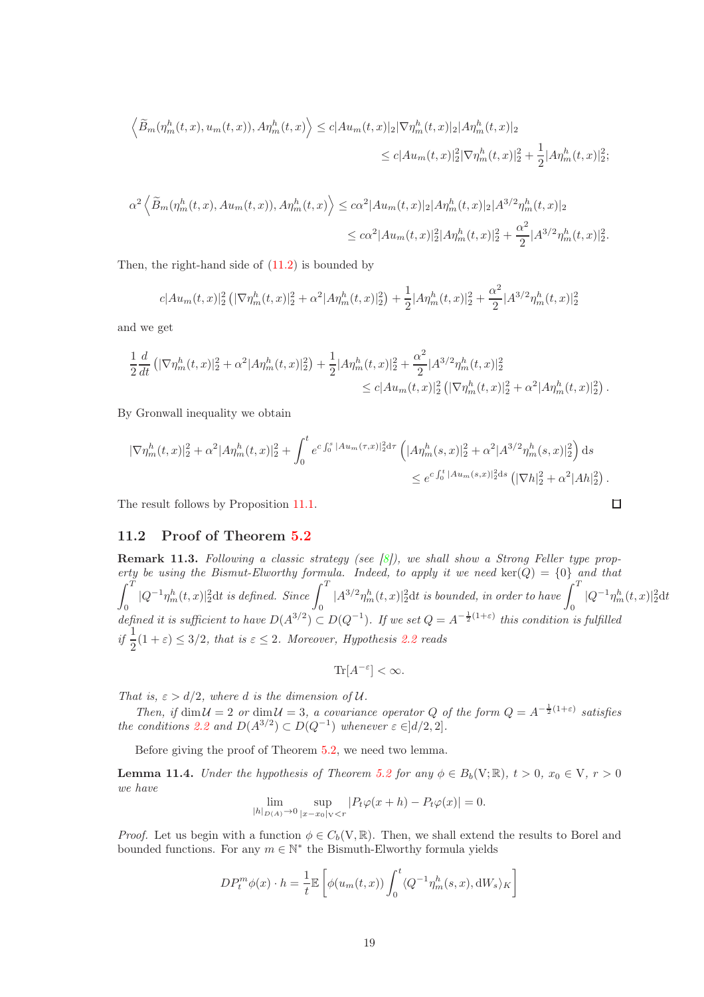$$
\langle \widetilde{B}_{m}(\eta_{m}^{h}(t,x),u_{m}(t,x)),A\eta_{m}^{h}(t,x)\rangle \leq c|Au_{m}(t,x)|_{2}|\nabla\eta_{m}^{h}(t,x)|_{2}|A\eta_{m}^{h}(t,x)|_{2}
$$
  

$$
\leq c|Au_{m}(t,x)|_{2}^{2}|\nabla\eta_{m}^{h}(t,x)|_{2}^{2} + \frac{1}{2}|A\eta_{m}^{h}(t,x)|_{2}^{2};
$$

$$
\alpha^2 \left\langle \widetilde{B}_m(\eta_m^h(t,x), A u_m(t,x)), A \eta_m^h(t,x) \right\rangle \leq c \alpha^2 |A u_m(t,x)|_2 |A \eta_m^h(t,x)|_2 |A^{3/2} \eta_m^h(t,x)|_2
$$
  

$$
\leq c \alpha^2 |A u_m(t,x)|_2^2 |A \eta_m^h(t,x)|_2^2 + \frac{\alpha^2}{2} |A^{3/2} \eta_m^h(t,x)|_2^2.
$$

Then, the right-hand side of  $(11.2)$  is bounded by

$$
c|Au_m(t,x)|_2^2 \left( |\nabla \eta_m^h(t,x)|_2^2 + \alpha^2 |A\eta_m^h(t,x)|_2^2 \right) + \frac{1}{2} |A\eta_m^h(t,x)|_2^2 + \frac{\alpha^2}{2} |A^{3/2}\eta_m^h(t,x)|_2^2
$$

and we get

$$
\frac{1}{2}\frac{d}{dt}\left(|\nabla\eta_m^h(t,x)|_2^2 + \alpha^2|A\eta_m^h(t,x)|_2^2\right) + \frac{1}{2}|A\eta_m^h(t,x)|_2^2 + \frac{\alpha^2}{2}|A^{3/2}\eta_m^h(t,x)|_2^2
$$
  

$$
\leq c|Au_m(t,x)|_2^2\left(|\nabla\eta_m^h(t,x)|_2^2 + \alpha^2|A\eta_m^h(t,x)|_2^2\right).
$$

By Gronwall inequality we obtain

$$
\begin{split} |\nabla \eta_m^h(t,x)|_2^2 + \alpha^2 |A\eta_m^h(t,x)|_2^2 + \int_0^t e^{c\int_0^s |A u_m(\tau,x)|_2^2 \mathrm{d}\tau} \left( |A\eta_m^h(s,x)|_2^2 + \alpha^2 |A^{3/2}\eta_m^h(s,x)|_2^2 \right) \mathrm{d}s \\ &\leq e^{c\int_0^t |A u_m(s,x)|_2^2 \mathrm{d}s} \left( |\nabla h|_2^2 + \alpha^2 |A h|_2^2 \right). \end{split}
$$

The result follows by Proposition [11.1.](#page-16-2)

## 11.2 Proof of Theorem [5.2](#page-6-6)

**Remark 11.3.** Following a classic strategy (see  $[8]$ ), we shall show a Strong Feller type property be using the Bismut-Elworthy formula. Indeed, to apply it we need  $\text{ker}(Q) = \{0\}$  and that  $\int_0^T$  $\int_0^T |Q^{-1}\eta^h_m(t,x)|^2_2 \mathrm{d}t$  is defined. Since  $\int_0^T |A^{3/2}\eta^h_m(t,x)|^2_2 \mathrm{d}t$  is bounded, in order to have  $\int_0^T |Q^{-1}\eta^h_m(t,x)|^2_2 \mathrm{d}t$ defined it is sufficient to have  $D(A^{3/2}) \subset D(Q^{-1})$ . If we set  $Q = A^{-\frac{1}{2}(1+\varepsilon)}$  this condition is fulfilled if  $\frac{1}{2}(1+\varepsilon) \leq 3/2$ , that is  $\varepsilon \leq 2$ . Moreover, Hypothesis [2.2](#page-3-0) reads

 $\Box$ 

$$
\text{Tr}[A^{-\varepsilon}] < \infty.
$$

That is,  $\varepsilon > d/2$ , where d is the dimension of U.

Then, if  $\dim \mathcal{U} = 2$  or  $\dim \mathcal{U} = 3$ , a covariance operator Q of the form  $Q = A^{-\frac{1}{2}(1+\varepsilon)}$  satisfies the conditions [2.2](#page-3-0) and  $D(A^{3/2}) \subset D(Q^{-1})$  whenever  $\varepsilon \in ]d/2,2]$ .

Before giving the proof of Theorem [5.2,](#page-6-6) we need two lemma.

**Lemma 11.4.** Under the hypothesis of Theorem [5.2](#page-6-6) for any  $\phi \in B_b(V;\mathbb{R})$ ,  $t > 0$ ,  $x_0 \in V$ ,  $r > 0$ we have

$$
\lim_{|h|_{D(A)} \to 0} \sup_{|x - x_0|_{V} < r} |P_t \varphi(x + h) - P_t \varphi(x)| = 0.
$$

*Proof.* Let us begin with a function  $\phi \in C_b(V, \mathbb{R})$ . Then, we shall extend the results to Borel and bounded functions. For any  $m\in\ensuremath{\mathbb{N}}^*$  the Bismuth-Elworthy formula yields

$$
DP_t^m \phi(x) \cdot h = \frac{1}{t} \mathbb{E} \left[ \phi(u_m(t,x)) \int_0^t \langle Q^{-1} \eta_m^h(s,x), \mathrm{d}W_s \rangle_K \right]
$$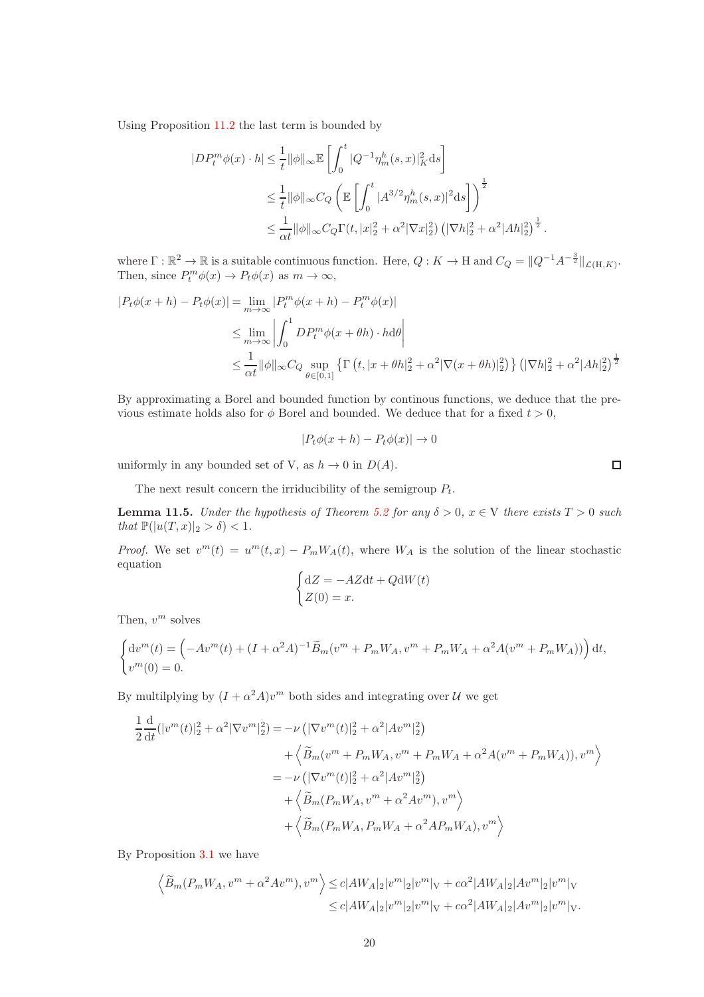Using Proposition [11.2](#page-17-1) the last term is bounded by

$$
\begin{aligned} |D P_t^m \phi(x) \cdot h| &\leq \frac{1}{t} \|\phi\|_\infty \mathbb{E}\left[ \int_0^t |Q^{-1} \eta_m^h(s,x)|_K^2 \mathrm{d}s \right] \\ &\leq \frac{1}{t} \|\phi\|_\infty C_Q \left( \mathbb{E}\left[ \int_0^t |A^{3/2} \eta_m^h(s,x)|^2 \mathrm{d}s \right] \right)^{\frac{1}{2}} \\ &\leq \frac{1}{\alpha t} \|\phi\|_\infty C_Q \Gamma(t,|x|_2^2 + \alpha^2 |\nabla x|_2^2) \left( |\nabla h|_2^2 + \alpha^2 |A h|_2^2 \right)^{\frac{1}{2}}. \end{aligned}
$$

where  $\Gamma : \mathbb{R}^2 \to \mathbb{R}$  is a suitable continuous function. Here,  $Q: K \to H$  and  $C_Q = ||Q^{-1}A^{-\frac{3}{2}}||_{\mathcal{L}(H,K)}$ . Then, since  $P_t^m \phi(x) \to P_t \phi(x)$  as  $m \to \infty$ ,

$$
|P_t\phi(x+h) - P_t\phi(x)| = \lim_{m \to \infty} |P_t^m\phi(x+h) - P_t^m\phi(x)|
$$
  
\n
$$
\leq \lim_{m \to \infty} \left| \int_0^1 DP_t^m\phi(x+\theta h) \cdot h d\theta \right|
$$
  
\n
$$
\leq \frac{1}{\alpha t} ||\phi||_{\infty} C_Q \sup_{\theta \in [0,1]} \left\{ \Gamma\left(t, |x+\theta h|_2^2 + \alpha^2 |\nabla(x+\theta h)|_2^2 \right) \right\} \left( |\nabla h|_2^2 + \alpha^2 |A h|_2^2 \right)^{\frac{1}{2}}
$$

By approximating a Borel and bounded function by continous functions, we deduce that the previous estimate holds also for  $\phi$  Borel and bounded. We deduce that for a fixed  $t > 0$ ,

$$
|P_t\phi(x+h) - P_t\phi(x)| \to 0
$$

uniformly in any bounded set of V, as  $h \to 0$  in  $D(A)$ .

The next result concern the irriducibility of the semigroup  $P_t$ .

**Lemma 11.5.** Under the hypothesis of Theorem [5.2](#page-6-6) for any  $\delta > 0$ ,  $x \in V$  there exists  $T > 0$  such that  $\mathbb{P}(|u(T,x)|_2 > \delta) < 1$ .

*Proof.* We set  $v^m(t) = u^m(t, x) - P_m W_A(t)$ , where  $W_A$  is the solution of the linear stochastic equation

$$
\begin{cases} dZ = -AZdt + QdW(t) \\ Z(0) = x. \end{cases}
$$

Then,  $v^m$  solves

$$
\begin{cases} dv^m(t) = \left( -Av^m(t) + (I + \alpha^2 A)^{-1} \tilde{B}_m(v^m + P_m W_A, v^m + P_m W_A + \alpha^2 A (v^m + P_m W_A)) \right) dt, \\ v^m(0) = 0. \end{cases}
$$

By multilplying by  $(I + \alpha^2 A)v^m$  both sides and integrating over  $U$  we get

$$
\frac{1}{2} \frac{d}{dt} (|v^m(t)|_2^2 + \alpha^2 |\nabla v^m|_2^2) = -\nu \left( |\nabla v^m(t)|_2^2 + \alpha^2 |Av^m|_2^2 \right) \n+ \left\langle \widetilde{B}_m(v^m + P_m W_A, v^m + P_m W_A + \alpha^2 A (v^m + P_m W_A)), v^m \right\rangle \n= -\nu \left( |\nabla v^m(t)|_2^2 + \alpha^2 |Av^m|_2^2 \right) \n+ \left\langle \widetilde{B}_m(P_m W_A, v^m + \alpha^2 Av^m), v^m \right\rangle \n+ \left\langle \widetilde{B}_m(P_m W_A, P_m W_A + \alpha^2 AP_m W_A), v^m \right\rangle
$$

By Proposition [3.1](#page-5-1) we have

$$
\left\langle \widetilde{B}_{m}(P_{m}W_{A},v^{m}+\alpha^{2}Av^{m}),v^{m} \right\rangle \leq c|AW_{A}|_{2}|v^{m}|_{2}|v^{m}|_{V}+c\alpha^{2}|AW_{A}|_{2}|Av^{m}|_{2}|v^{m}|_{V}
$$
  

$$
\leq c|AW_{A}|_{2}|v^{m}|_{2}|v^{m}|_{V}+c\alpha^{2}|AW_{A}|_{2}|Av^{m}|_{2}|v^{m}|_{V}.
$$

 $\Box$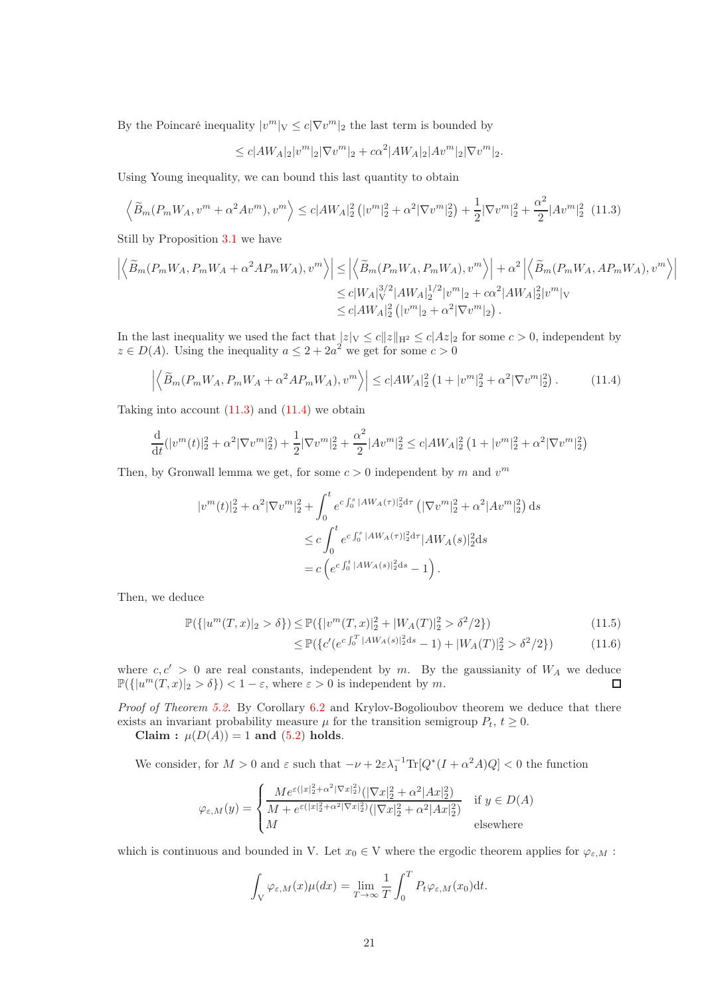By the Poincaré inequality  $|v^m|_V \leq c|\nabla v^m|_2$  the last term is bounded by

$$
\leq c|AW_A|_2|v^m|_2|\nabla v^m|_2 + c\alpha^2|AW_A|_2|Av^m|_2|\nabla v^m|_2.
$$

Using Young inequality, we can bound this last quantity to obtain

<span id="page-20-0"></span>
$$
\left\langle \widetilde{B}_m(P_m W_A, v^m + \alpha^2 A v^m), v^m \right\rangle \le c |AW_A|_2^2 \left( |v^m|_2^2 + \alpha^2 |\nabla v^m|_2^2 \right) + \frac{1}{2} |\nabla v^m|_2^2 + \frac{\alpha^2}{2} |Av^m|_2^2 \tag{11.3}
$$

Still by Proposition [3.1](#page-5-1) we have

$$
\left| \left\langle \widetilde{B}_m(P_m W_A, P_m W_A + \alpha^2 A P_m W_A), v^m \right\rangle \right| \leq \left| \left\langle \widetilde{B}_m(P_m W_A, P_m W_A), v^m \right\rangle \right| + \alpha^2 \left| \left\langle \widetilde{B}_m(P_m W_A, A P_m W_A), v^m \right\rangle \right|
$$
  

$$
\leq c |W_A|_V^{3/2} |AW_A|_2^{1/2} |v^m|_2 + c \alpha^2 |AW_A|_2^2 |v^m|_V
$$
  

$$
\leq c |AW_A|_2^2 (|v^m|_2 + \alpha^2 |\nabla v^m|_2).
$$

In the last inequality we used the fact that  $|z|_V \le c||z||_{H^2} \le c|Az|_2$  for some  $c > 0$ , independent by  $z \in D(A)$ . Using the inequality  $a \leq 2 + 2a^2$  we get for some  $c > 0$ 

<span id="page-20-1"></span>
$$
\left| \left\langle \widetilde{B}_m(P_m W_A, P_m W_A + \alpha^2 A P_m W_A), v^m \right\rangle \right| \le c |AW_A|_2^2 \left( 1 + |v^m|_2^2 + \alpha^2 |\nabla v^m|_2^2 \right). \tag{11.4}
$$

Taking into account  $(11.3)$  and  $(11.4)$  we obtain

$$
\frac{\mathrm{d}}{\mathrm{d}t}(|v^m(t)|_2^2 + \alpha^2 |\nabla v^m|_2^2) + \frac{1}{2} |\nabla v^m|_2^2 + \frac{\alpha^2}{2} |Av^m|_2^2 \le c |AW_A|_2^2 \left(1 + |v^m|_2^2 + \alpha^2 |\nabla v^m|_2^2\right)
$$

Then, by Gronwall lemma we get, for some  $c > 0$  independent by m and  $v^m$ 

$$
|v^m(t)|_2^2 + \alpha^2 |\nabla v^m|_2^2 + \int_0^t e^{c \int_0^s |AW_A(\tau)|_2^2 d\tau} \left( |\nabla v^m|_2^2 + \alpha^2 |Av^m|_2^2 \right) ds
$$
  

$$
\leq c \int_0^t e^{c \int_0^s |AW_A(\tau)|_2^2 d\tau} |AW_A(s)|_2^2 ds
$$
  

$$
= c \left( e^{c \int_0^t |AW_A(s)|_2^2 ds} - 1 \right).
$$

Then, we deduce

$$
\mathbb{P}(\{|u^m(T,x)|_2 > \delta\}) \le \mathbb{P}(\{|v^m(T,x)|_2^2 + |W_A(T)|_2^2 > \delta^2/2\})\tag{11.5}
$$

$$
\leq \mathbb{P}(\{c'(e^{c\int_0^T |AW_A(s)|_2^2 ds} - 1) + |W_A(T)|_2^2 > \delta^2/2\})
$$
\n(11.6)

where  $c, c' > 0$  are real constants, independent by m. By the gaussianity of  $W_A$  we deduce  $\mathbb{P}(\{|u^m(T,x)|_2 > \delta\}) < 1 - \varepsilon$ , where  $\varepsilon > 0$  is independent by m.  $\Box$ 

Proof of Theorem [5.2.](#page-6-6) By Corollary [6.2](#page-8-2) and Krylov-Bogolioubov theorem we deduce that there exists an invariant probability measure  $\mu$  for the transition semigroup  $P_t$ ,  $t \geq 0$ .

Claim :  $\mu(D(A)) = 1$  and [\(5.2\)](#page-6-7) holds.

We consider, for  $M > 0$  and  $\varepsilon$  such that  $-\nu + 2\varepsilon\lambda_1^{-1} \text{Tr}[Q^*(I + \alpha^2 A)Q] < 0$  the function

$$
\varphi_{\varepsilon,M}(y) = \begin{cases} \frac{Me^{\varepsilon(|x|_2^2 + \alpha^2 |\nabla x|_2^2)} (|\nabla x|_2^2 + \alpha^2 |Ax|_2^2)}{M + e^{\varepsilon(|x|_2^2 + \alpha^2 |\nabla x|_2^2)} (|\nabla x|_2^2 + \alpha^2 |Ax|_2^2)} & \text{if } y \in D(A) \\ M & \text{elsewhere} \end{cases}
$$

which is continuous and bounded in V. Let  $x_0 \in V$  where the ergodic theorem applies for  $\varphi_{\varepsilon,M}$ :

$$
\int_{V} \varphi_{\varepsilon,M}(x)\mu(dx) = \lim_{T \to \infty} \frac{1}{T} \int_{0}^{T} P_t \varphi_{\varepsilon,M}(x_0) dt.
$$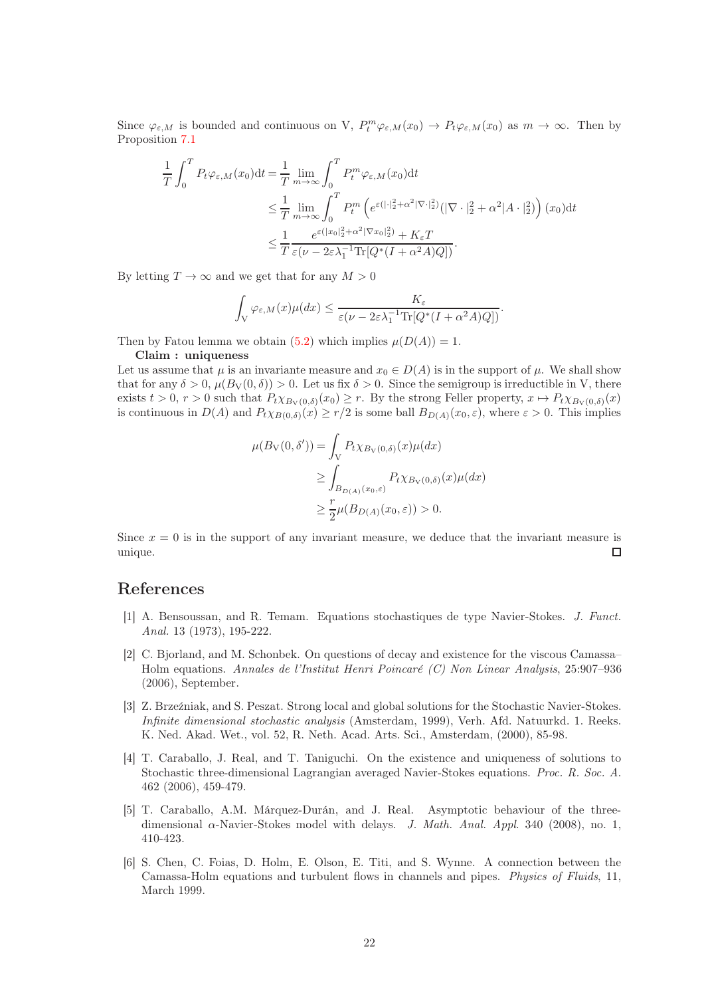Since  $\varphi_{\varepsilon,M}$  is bounded and continuous on V,  $P_t^m \varphi_{\varepsilon,M}(x_0) \to P_t \varphi_{\varepsilon,M}(x_0)$  as  $m \to \infty$ . Then by Proposition [7.1](#page-9-1)

$$
\frac{1}{T} \int_0^T P_t \varphi_{\varepsilon,M}(x_0) dt = \frac{1}{T} \lim_{m \to \infty} \int_0^T P_t^m \varphi_{\varepsilon,M}(x_0) dt
$$
\n
$$
\leq \frac{1}{T} \lim_{m \to \infty} \int_0^T P_t^m \left( e^{\varepsilon (|\cdot|^2 + \alpha^2| \nabla \cdot|^2_2)} (|\nabla \cdot|^2 + \alpha^2 |A \cdot|^2_2) \right) (x_0) dt
$$
\n
$$
\leq \frac{1}{T} \frac{e^{\varepsilon (|x_0|^2 + \alpha^2 | \nabla x_0|^2)} + K_{\varepsilon} T}{\varepsilon (\nu - 2\varepsilon \lambda_1^{-1} \text{Tr} [Q^*(I + \alpha^2 A) Q])}.
$$

By letting  $T \to \infty$  and we get that for any  $M > 0$ 

$$
\int_{V} \varphi_{\varepsilon,M}(x) \mu(dx) \leq \frac{K_{\varepsilon}}{\varepsilon (\nu - 2\varepsilon \lambda_1^{-1} \text{Tr}[Q^*(I + \alpha^2 A)Q])}.
$$

Then by Fatou lemma we obtain [\(5.2\)](#page-6-7) which implies  $\mu(D(A)) = 1$ .

#### Claim : uniqueness

Let us assume that  $\mu$  is an invariante measure and  $x_0 \in D(A)$  is in the support of  $\mu$ . We shall show that for any  $\delta > 0$ ,  $\mu(B_V(0, \delta)) > 0$ . Let us fix  $\delta > 0$ . Since the semigroup is irreductible in V, there exists  $t > 0$ ,  $r > 0$  such that  $P_t \chi_{B_V(0,\delta)}(x_0) \geq r$ . By the strong Feller property,  $x \mapsto P_t \chi_{B_V(0,\delta)}(x)$ is continuous in  $D(A)$  and  $P_t \chi_{B(0,\delta)}(x) \geq r/2$  is some ball  $B_{D(A)}(x_0,\varepsilon)$ , where  $\varepsilon > 0$ . This implies

$$
\mu(B_V(0, \delta')) = \int_V P_t \chi_{B_V(0, \delta)}(x) \mu(dx)
$$
  
\n
$$
\geq \int_{B_{D(A)}(x_0, \varepsilon)} P_t \chi_{B_V(0, \delta)}(x) \mu(dx)
$$
  
\n
$$
\geq \frac{r}{2} \mu(B_{D(A)}(x_0, \varepsilon)) > 0.
$$

Since  $x = 0$  is in the support of any invariant measure, we deduce that the invariant measure is unique.  $\Box$ 

# <span id="page-21-2"></span>References

- [1] A. Bensoussan, and R. Temam. Equations stochastiques de type Navier-Stokes. J. Funct. Anal. 13 (1973), 195-222.
- <span id="page-21-1"></span>[2] C. Bjorland, and M. Schonbek. On questions of decay and existence for the viscous Camassa– Holm equations. Annales de l'Institut Henri Poincaré (C) Non Linear Analysis, 25:907–936 (2006), September.
- <span id="page-21-3"></span>[3] Z. Brzeźniak, and S. Peszat. Strong local and global solutions for the Stochastic Navier-Stokes. Infinite dimensional stochastic analysis (Amsterdam, 1999), Verh. Afd. Natuurkd. 1. Reeks. K. Ned. Akad. Wet., vol. 52, R. Neth. Acad. Arts. Sci., Amsterdam, (2000), 85-98.
- <span id="page-21-5"></span>[4] T. Caraballo, J. Real, and T. Taniguchi. On the existence and uniqueness of solutions to Stochastic three-dimensional Lagrangian averaged Navier-Stokes equations. Proc. R. Soc. A. 462 (2006), 459-479.
- <span id="page-21-4"></span>[5] T. Caraballo, A.M. Márquez-Durán, and J. Real. Asymptotic behaviour of the threedimensional α-Navier-Stokes model with delays. J. Math. Anal. Appl. 340 (2008), no. 1, 410-423.
- <span id="page-21-0"></span>[6] S. Chen, C. Foias, D. Holm, E. Olson, E. Titi, and S. Wynne. A connection between the Camassa-Holm equations and turbulent flows in channels and pipes. Physics of Fluids, 11, March 1999.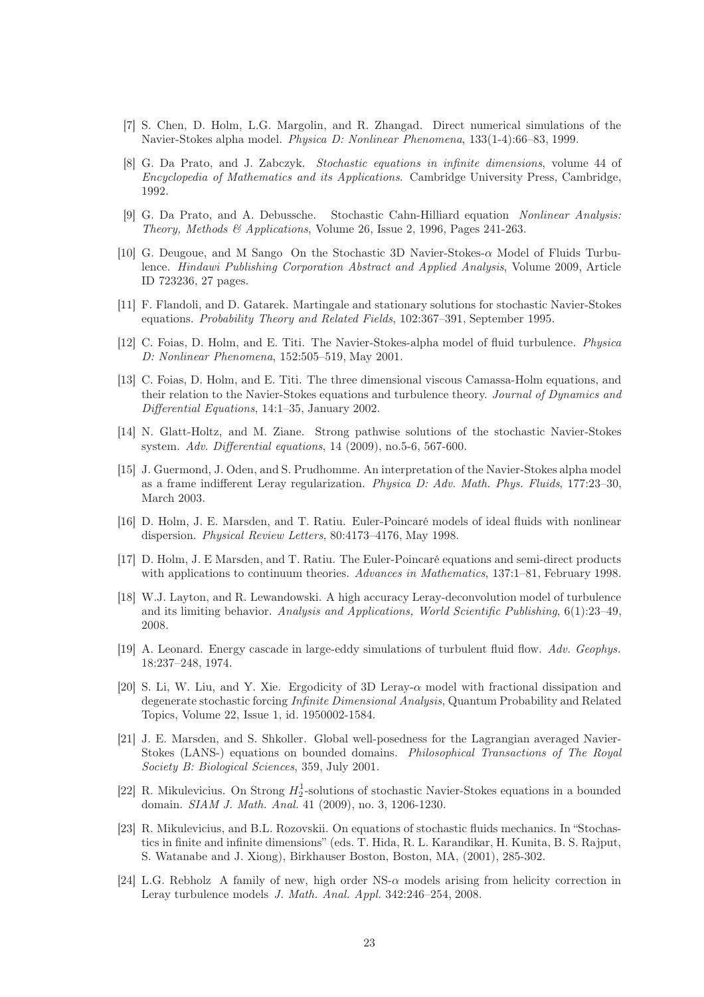- <span id="page-22-7"></span>[7] S. Chen, D. Holm, L.G. Margolin, and R. Zhangad. Direct numerical simulations of the Navier-Stokes alpha model. Physica D: Nonlinear Phenomena, 133(1-4):66–83, 1999.
- <span id="page-22-16"></span>[8] G. Da Prato, and J. Zabczyk. Stochastic equations in infinite dimensions, volume 44 of Encyclopedia of Mathematics and its Applications. Cambridge University Press, Cambridge, 1992.
- <span id="page-22-13"></span><span id="page-22-12"></span>[9] G. Da Prato, and A. Debussche. Stochastic Cahn-Hilliard equation Nonlinear Analysis: Theory, Methods & Applications, Volume 26, Issue 2, 1996, Pages 241-263.
- [10] G. Deugoue, and M Sango On the Stochastic 3D Navier-Stokes- $\alpha$  Model of Fluids Turbulence. Hindawi Publishing Corporation Abstract and Applied Analysis, Volume 2009, Article ID 723236, 27 pages.
- <span id="page-22-8"></span>[11] F. Flandoli, and D. Gatarek. Martingale and stationary solutions for stochastic Navier-Stokes equations. Probability Theory and Related Fields, 102:367–391, September 1995.
- <span id="page-22-4"></span>[12] C. Foias, D. Holm, and E. Titi. The Navier-Stokes-alpha model of fluid turbulence. Physica D: Nonlinear Phenomena, 152:505–519, May 2001.
- <span id="page-22-14"></span>[13] C. Foias, D. Holm, and E. Titi. The three dimensional viscous Camassa-Holm equations, and their relation to the Navier-Stokes equations and turbulence theory. Journal of Dynamics and Differential Equations, 14:1–35, January 2002.
- <span id="page-22-10"></span>[14] N. Glatt-Holtz, and M. Ziane. Strong pathwise solutions of the stochastic Navier-Stokes system. Adv. Differential equations, 14 (2009), no.5-6, 567-600.
- <span id="page-22-2"></span>[15] J. Guermond, J. Oden, and S. Prudhomme. An interpretation of the Navier-Stokes alpha model as a frame indifferent Leray regularization. Physica D: Adv. Math. Phys. Fluids, 177:23–30, March 2003.
- <span id="page-22-0"></span>[16] D. Holm, J. E. Marsden, and T. Ratiu. Euler-Poincaré models of ideal fluids with nonlinear dispersion. Physical Review Letters, 80:4173–4176, May 1998.
- [17] D. Holm, J. E Marsden, and T. Ratiu. The Euler-Poincaré equations and semi-direct products with applications to continuum theories. Advances in Mathematics, 137:1–81, February 1998.
- <span id="page-22-5"></span>[18] W.J. Layton, and R. Lewandowski. A high accuracy Leray-deconvolution model of turbulence and its limiting behavior. Analysis and Applications, World Scientific Publishing, 6(1):23–49, 2008.
- <span id="page-22-1"></span>[19] A. Leonard. Energy cascade in large-eddy simulations of turbulent fluid flow. Adv. Geophys. 18:237–248, 1974.
- <span id="page-22-15"></span>[20] S. Li, W. Liu, and Y. Xie. Ergodicity of 3D Leray- $\alpha$  model with fractional dissipation and degenerate stochastic forcing Infinite Dimensional Analysis, Quantum Probability and Related Topics, Volume 22, Issue 1, id. 1950002-1584.
- <span id="page-22-3"></span>[21] J. E. Marsden, and S. Shkoller. Global well-posedness for the Lagrangian averaged Navier-Stokes (LANS-) equations on bounded domains. Philosophical Transactions of The Royal Society B: Biological Sciences, 359, July 2001.
- <span id="page-22-11"></span>[22] R. Mikulevicius. On Strong  $H_2^1$ -solutions of stochastic Navier-Stokes equations in a bounded domain. SIAM J. Math. Anal. 41 (2009), no. 3, 1206-1230.
- <span id="page-22-9"></span>[23] R. Mikulevicius, and B.L. Rozovskii. On equations of stochastic fluids mechanics. In "Stochastics in finite and infinite dimensions" (eds. T. Hida, R. L. Karandikar, H. Kunita, B. S. Rajput, S. Watanabe and J. Xiong), Birkhauser Boston, Boston, MA, (2001), 285-302.
- <span id="page-22-6"></span>[24] L.G. Rebholz A family of new, high order NS-α models arising from helicity correction in Leray turbulence models J. Math. Anal. Appl. 342:246–254, 2008.